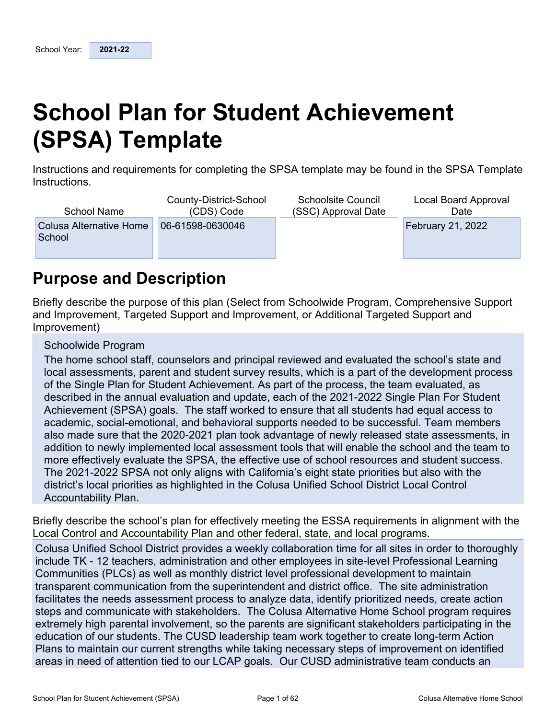# <span id="page-0-0"></span>**School Plan for Student Achievement (SPSA) Template**

Instructions and requirements for completing the SPSA template may be found in the SPSA Template Instructions.

| School Name                       | County-District-School | <b>Schoolsite Council</b> | Local Board Approval     |
|-----------------------------------|------------------------|---------------------------|--------------------------|
|                                   | (CDS) Code             | (SSC) Approval Date       | Date                     |
| Colusa Alternative Home<br>School | 06-61598-0630046       |                           | <b>February 21, 2022</b> |

### <span id="page-0-1"></span>**Purpose and Description**

Briefly describe the purpose of this plan (Select from Schoolwide Program, Comprehensive Support and Improvement, Targeted Support and Improvement, or Additional Targeted Support and Improvement)

#### Schoolwide Program

The home school staff, counselors and principal reviewed and evaluated the school's state and local assessments, parent and student survey results, which is a part of the development process of the Single Plan for Student Achievement. As part of the process, the team evaluated, as described in the annual evaluation and update, each of the 2021-2022 Single Plan For Student Achievement (SPSA) goals. The staff worked to ensure that all students had equal access to academic, social-emotional, and behavioral supports needed to be successful. Team members also made sure that the 2020-2021 plan took advantage of newly released state assessments, in addition to newly implemented local assessment tools that will enable the school and the team to more effectively evaluate the SPSA, the effective use of school resources and student success. The 2021-2022 SPSA not only aligns with California's eight state priorities but also with the district's local priorities as highlighted in the Colusa Unified School District Local Control Accountability Plan.

Briefly describe the school's plan for effectively meeting the ESSA requirements in alignment with the Local Control and Accountability Plan and other federal, state, and local programs.

Colusa Unified School District provides a weekly collaboration time for all sites in order to thoroughly include TK - 12 teachers, administration and other employees in site-level Professional Learning Communities (PLCs) as well as monthly district level professional development to maintain transparent communication from the superintendent and district office. The site administration facilitates the needs assessment process to analyze data, identify prioritized needs, create action steps and communicate with stakeholders. The Colusa Alternative Home School program requires extremely high parental involvement, so the parents are significant stakeholders participating in the education of our students. The CUSD leadership team work together to create long-term Action Plans to maintain our current strengths while taking necessary steps of improvement on identified areas in need of attention tied to our LCAP goals. Our CUSD administrative team conducts an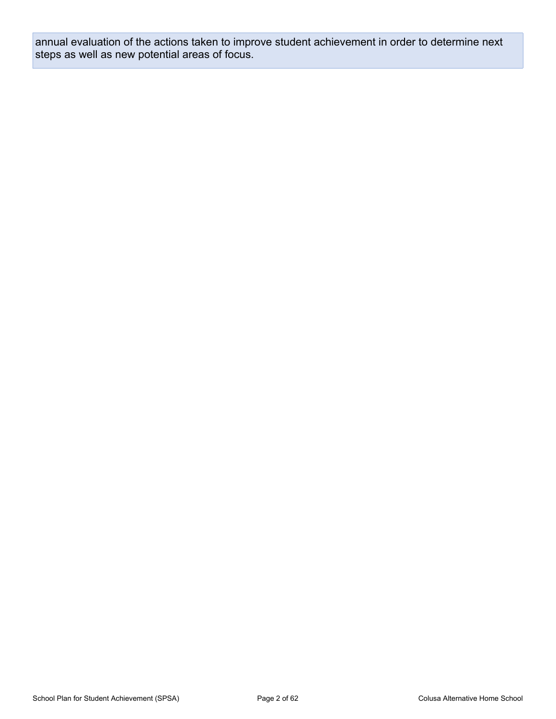annual evaluation of the actions taken to improve student achievement in order to determine next steps as well as new potential areas of focus.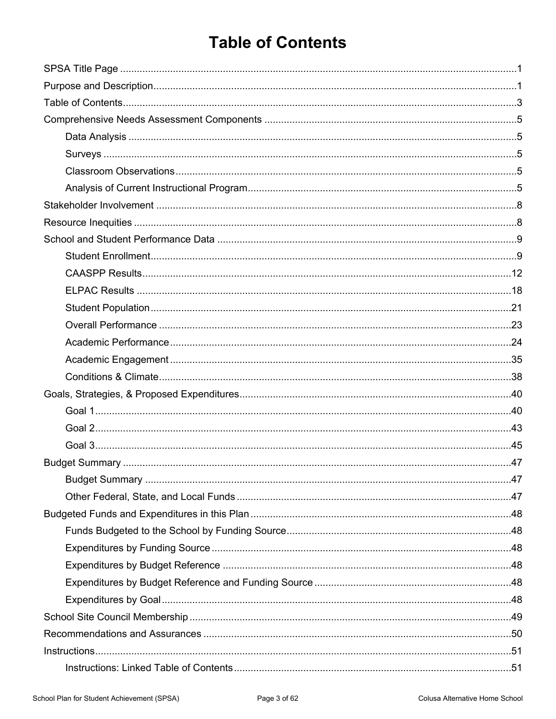## <span id="page-2-0"></span>**Table of Contents**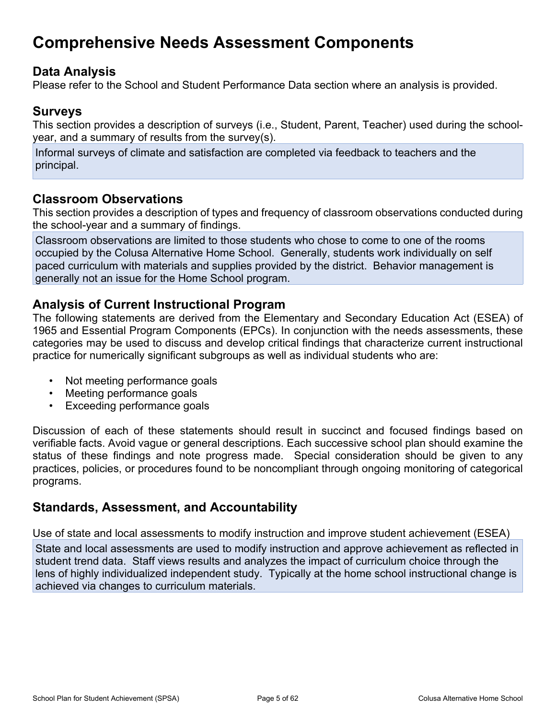## <span id="page-4-0"></span>**Comprehensive Needs Assessment Components**

### <span id="page-4-1"></span>**Data Analysis**

Please refer to the School and Student Performance Data section where an analysis is provided.

### <span id="page-4-2"></span>**Surveys**

This section provides a description of surveys (i.e., Student, Parent, Teacher) used during the schoolyear, and a summary of results from the survey(s).

Informal surveys of climate and satisfaction are completed via feedback to teachers and the principal.

### <span id="page-4-3"></span>**Classroom Observations**

This section provides a description of types and frequency of classroom observations conducted during the school-year and a summary of findings.

Classroom observations are limited to those students who chose to come to one of the rooms occupied by the Colusa Alternative Home School. Generally, students work individually on self paced curriculum with materials and supplies provided by the district. Behavior management is generally not an issue for the Home School program.

### <span id="page-4-4"></span>**Analysis of Current Instructional Program**

The following statements are derived from the Elementary and Secondary Education Act (ESEA) of 1965 and Essential Program Components (EPCs). In conjunction with the needs assessments, these categories may be used to discuss and develop critical findings that characterize current instructional practice for numerically significant subgroups as well as individual students who are:

- Not meeting performance goals
- Meeting performance goals
- Exceeding performance goals

Discussion of each of these statements should result in succinct and focused findings based on verifiable facts. Avoid vague or general descriptions. Each successive school plan should examine the status of these findings and note progress made. Special consideration should be given to any practices, policies, or procedures found to be noncompliant through ongoing monitoring of categorical programs.

### **Standards, Assessment, and Accountability**

Use of state and local assessments to modify instruction and improve student achievement (ESEA) State and local assessments are used to modify instruction and approve achievement as reflected in student trend data. Staff views results and analyzes the impact of curriculum choice through the lens of highly individualized independent study. Typically at the home school instructional change is achieved via changes to curriculum materials.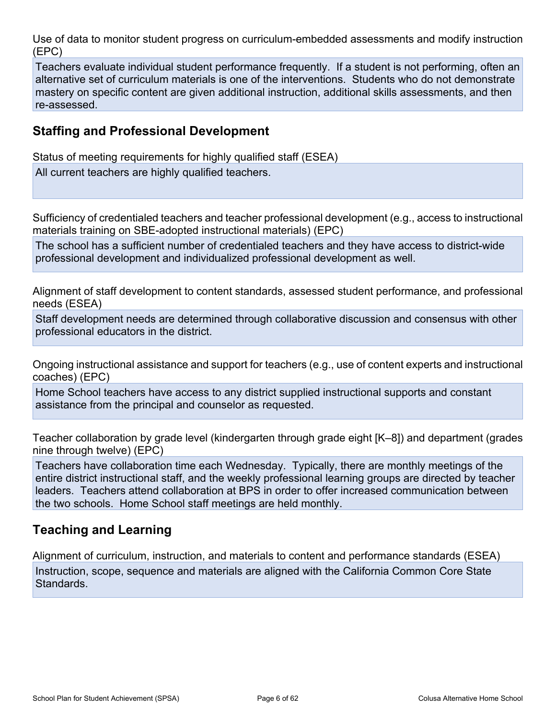Use of data to monitor student progress on curriculum-embedded assessments and modify instruction (EPC)

Teachers evaluate individual student performance frequently. If a student is not performing, often an alternative set of curriculum materials is one of the interventions. Students who do not demonstrate mastery on specific content are given additional instruction, additional skills assessments, and then re-assessed.

### **Staffing and Professional Development**

Status of meeting requirements for highly qualified staff (ESEA)

All current teachers are highly qualified teachers.

Sufficiency of credentialed teachers and teacher professional development (e.g., access to instructional materials training on SBE-adopted instructional materials) (EPC)

The school has a sufficient number of credentialed teachers and they have access to district-wide professional development and individualized professional development as well.

Alignment of staff development to content standards, assessed student performance, and professional needs (ESEA)

Staff development needs are determined through collaborative discussion and consensus with other professional educators in the district.

Ongoing instructional assistance and support for teachers (e.g., use of content experts and instructional coaches) (EPC)

Home School teachers have access to any district supplied instructional supports and constant assistance from the principal and counselor as requested.

Teacher collaboration by grade level (kindergarten through grade eight [K–8]) and department (grades nine through twelve) (EPC)

Teachers have collaboration time each Wednesday. Typically, there are monthly meetings of the entire district instructional staff, and the weekly professional learning groups are directed by teacher leaders. Teachers attend collaboration at BPS in order to offer increased communication between the two schools. Home School staff meetings are held monthly.

### **Teaching and Learning**

Alignment of curriculum, instruction, and materials to content and performance standards (ESEA) Instruction, scope, sequence and materials are aligned with the California Common Core State Standards.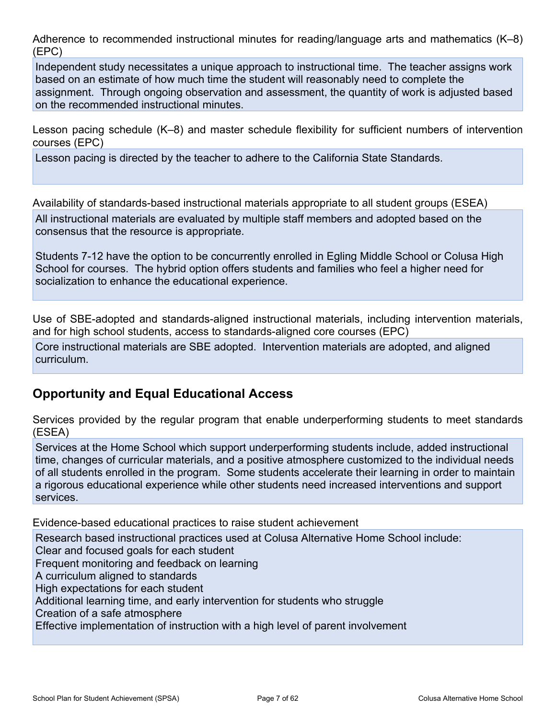Adherence to recommended instructional minutes for reading/language arts and mathematics (K–8) (EPC)

Independent study necessitates a unique approach to instructional time. The teacher assigns work based on an estimate of how much time the student will reasonably need to complete the assignment. Through ongoing observation and assessment, the quantity of work is adjusted based on the recommended instructional minutes.

Lesson pacing schedule (K–8) and master schedule flexibility for sufficient numbers of intervention courses (EPC)

Lesson pacing is directed by the teacher to adhere to the California State Standards.

Availability of standards-based instructional materials appropriate to all student groups (ESEA)

All instructional materials are evaluated by multiple staff members and adopted based on the consensus that the resource is appropriate.

Students 7-12 have the option to be concurrently enrolled in Egling Middle School or Colusa High School for courses. The hybrid option offers students and families who feel a higher need for socialization to enhance the educational experience.

Use of SBE-adopted and standards-aligned instructional materials, including intervention materials, and for high school students, access to standards-aligned core courses (EPC)

Core instructional materials are SBE adopted. Intervention materials are adopted, and aligned curriculum.

### **Opportunity and Equal Educational Access**

Services provided by the regular program that enable underperforming students to meet standards (ESEA)

Services at the Home School which support underperforming students include, added instructional time, changes of curricular materials, and a positive atmosphere customized to the individual needs of all students enrolled in the program. Some students accelerate their learning in order to maintain a rigorous educational experience while other students need increased interventions and support services.

Evidence-based educational practices to raise student achievement

Research based instructional practices used at Colusa Alternative Home School include:

Clear and focused goals for each student

Frequent monitoring and feedback on learning

A curriculum aligned to standards

High expectations for each student

Additional learning time, and early intervention for students who struggle

Creation of a safe atmosphere

Effective implementation of instruction with a high level of parent involvement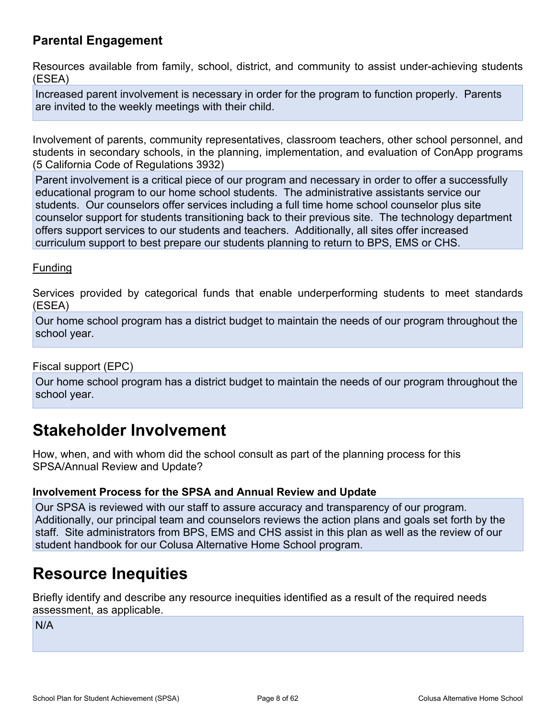### **Parental Engagement**

Resources available from family, school, district, and community to assist under-achieving students (ESEA)

Increased parent involvement is necessary in order for the program to function properly. Parents are invited to the weekly meetings with their child.

Involvement of parents, community representatives, classroom teachers, other school personnel, and students in secondary schools, in the planning, implementation, and evaluation of ConApp programs (5 California Code of Regulations 3932)

Parent involvement is a critical piece of our program and necessary in order to offer a successfully educational program to our home school students. The administrative assistants service our students. Our counselors offer services including a full time home school counselor plus site counselor support for students transitioning back to their previous site. The technology department offers support services to our students and teachers. Additionally, all sites offer increased curriculum support to best prepare our students planning to return to BPS, EMS or CHS.

#### Funding

Services provided by categorical funds that enable underperforming students to meet standards (ESEA)

Our home school program has a district budget to maintain the needs of our program throughout the school year.

Fiscal support (EPC)

Our home school program has a district budget to maintain the needs of our program throughout the school year.

## <span id="page-7-0"></span>**Stakeholder Involvement**

How, when, and with whom did the school consult as part of the planning process for this SPSA/Annual Review and Update?

#### **Involvement Process for the SPSA and Annual Review and Update**

Our SPSA is reviewed with our staff to assure accuracy and transparency of our program. Additionally, our principal team and counselors reviews the action plans and goals set forth by the staff. Site administrators from BPS, EMS and CHS assist in this plan as well as the review of our student handbook for our Colusa Alternative Home School program.

## <span id="page-7-1"></span>**Resource Inequities**

Briefly identify and describe any resource inequities identified as a result of the required needs assessment, as applicable.

N/A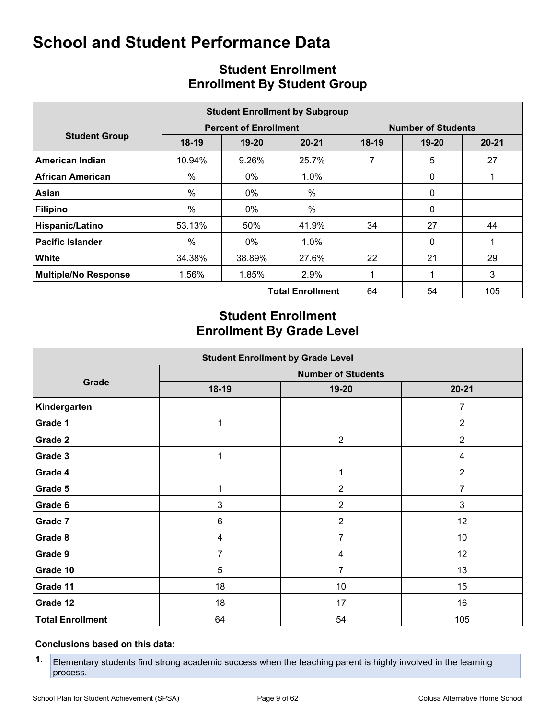<span id="page-8-0"></span>

| <b>Student Enrollment by Subgroup</b> |         |                              |                         |                           |              |           |  |  |  |  |  |
|---------------------------------------|---------|------------------------------|-------------------------|---------------------------|--------------|-----------|--|--|--|--|--|
|                                       |         | <b>Percent of Enrollment</b> |                         | <b>Number of Students</b> |              |           |  |  |  |  |  |
| <b>Student Group</b>                  | $18-19$ | 19-20                        | $20 - 21$               | $18-19$                   | $19 - 20$    | $20 - 21$ |  |  |  |  |  |
| American Indian                       | 10.94%  | 9.26%                        | 25.7%                   | 7                         | 5            | 27        |  |  |  |  |  |
| African American                      | $\%$    | $0\%$                        | $1.0\%$                 |                           | 0            | 1         |  |  |  |  |  |
| Asian                                 | $\%$    | $0\%$                        | $\%$                    |                           | $\mathbf{0}$ |           |  |  |  |  |  |
| <b>Filipino</b>                       | %       | $0\%$                        | $\frac{0}{0}$           |                           | $\Omega$     |           |  |  |  |  |  |
| Hispanic/Latino                       | 53.13%  | 50%                          | 41.9%                   | 34                        | 27           | 44        |  |  |  |  |  |
| <b>Pacific Islander</b>               | $\%$    | $0\%$                        | $1.0\%$                 |                           | $\mathbf{0}$ |           |  |  |  |  |  |
| White                                 | 34.38%  | 38.89%                       | 27.6%                   | 22                        | 21           | 29        |  |  |  |  |  |
| <b>Multiple/No Response</b>           | 1.56%   | 1.85%                        | 2.9%                    |                           |              | 3         |  |  |  |  |  |
|                                       |         |                              | <b>Total Enrollment</b> | 64                        | 54           | 105       |  |  |  |  |  |

### <span id="page-8-1"></span>**Student Enrollment Enrollment By Student Group**

### **Student Enrollment Enrollment By Grade Level**

| <b>Student Enrollment by Grade Level</b> |                         |                           |                         |  |  |  |  |  |  |  |
|------------------------------------------|-------------------------|---------------------------|-------------------------|--|--|--|--|--|--|--|
|                                          |                         | <b>Number of Students</b> |                         |  |  |  |  |  |  |  |
| Grade                                    | $18-19$                 | 19-20                     | $20 - 21$               |  |  |  |  |  |  |  |
| Kindergarten                             |                         |                           | 7                       |  |  |  |  |  |  |  |
| Grade 1                                  | 1                       |                           | $\overline{2}$          |  |  |  |  |  |  |  |
| Grade 2                                  |                         | $\overline{2}$            | $\overline{2}$          |  |  |  |  |  |  |  |
| Grade 3                                  | 1                       |                           | $\overline{\mathbf{4}}$ |  |  |  |  |  |  |  |
| Grade 4                                  |                         | 1                         | $\overline{2}$          |  |  |  |  |  |  |  |
| Grade 5                                  | $\mathbf{1}$            | $\overline{2}$            | $\overline{7}$          |  |  |  |  |  |  |  |
| Grade 6                                  | 3                       | $\overline{2}$            | $\mathfrak{B}$          |  |  |  |  |  |  |  |
| Grade 7                                  | $\,6$                   | $\overline{2}$            | 12                      |  |  |  |  |  |  |  |
| Grade 8                                  | $\overline{\mathbf{4}}$ | $\overline{7}$            | 10 <sup>°</sup>         |  |  |  |  |  |  |  |
| Grade 9                                  | 7                       | 4                         | 12 <sub>2</sub>         |  |  |  |  |  |  |  |
| Grade 10                                 | 5                       | $\overline{7}$            | 13                      |  |  |  |  |  |  |  |
| Grade 11                                 | 18                      | 10                        | 15                      |  |  |  |  |  |  |  |
| Grade 12                                 | 18                      | 17                        | 16                      |  |  |  |  |  |  |  |
| <b>Total Enrollment</b>                  | 64                      | 54                        | 105                     |  |  |  |  |  |  |  |

#### **Conclusions based on this data:**

**1.** Elementary students find strong academic success when the teaching parent is highly involved in the learning process.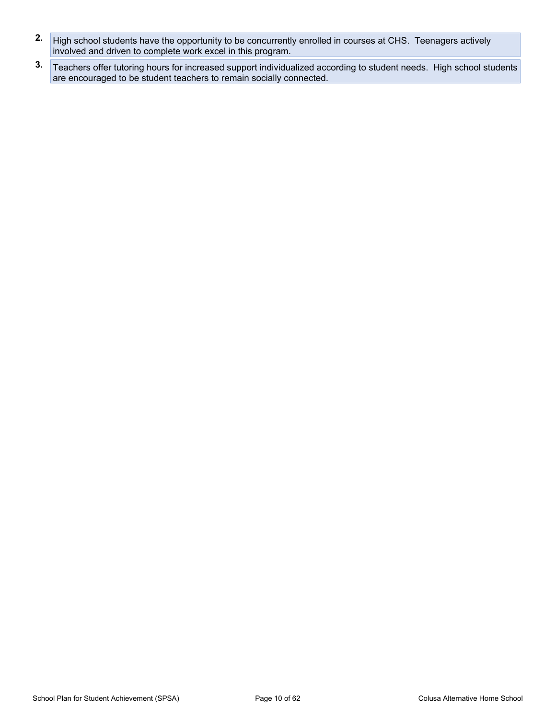- **2.** High school students have the opportunity to be concurrently enrolled in courses at CHS. Teenagers actively involved and driven to complete work excel in this program.
- **3.** Teachers offer tutoring hours for increased support individualized according to student needs. High school students are encouraged to be student teachers to remain socially connected.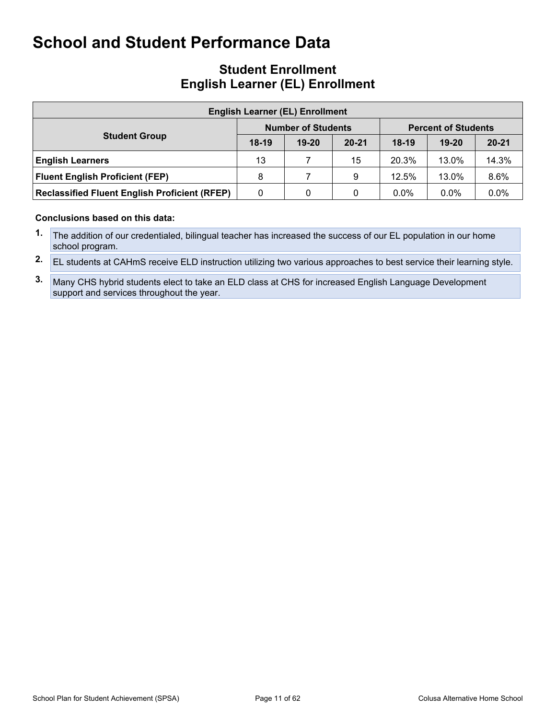### **Student Enrollment English Learner (EL) Enrollment**

| <b>English Learner (EL) Enrollment</b>               |         |                           |           |                            |         |           |  |  |  |  |
|------------------------------------------------------|---------|---------------------------|-----------|----------------------------|---------|-----------|--|--|--|--|
|                                                      |         | <b>Number of Students</b> |           | <b>Percent of Students</b> |         |           |  |  |  |  |
| <b>Student Group</b>                                 | $18-19$ | $19 - 20$                 | $20 - 21$ | $18-19$                    | $19-20$ | $20 - 21$ |  |  |  |  |
| <b>English Learners</b>                              | 13      |                           | 15        | 20.3%                      | 13.0%   | 14.3%     |  |  |  |  |
| <b>Fluent English Proficient (FEP)</b>               | 8       |                           | 9         | 12.5%                      | 13.0%   | 8.6%      |  |  |  |  |
| <b>Reclassified Fluent English Proficient (RFEP)</b> | 0       | 0                         | 0         | $0.0\%$                    | $0.0\%$ | $0.0\%$   |  |  |  |  |

#### **Conclusions based on this data:**

- **1.** The addition of our credentialed, bilingual teacher has increased the success of our EL population in our home school program.
- **2.** EL students at CAHmS receive ELD instruction utilizing two various approaches to best service their learning style.
- **3.** Many CHS hybrid students elect to take an ELD class at CHS for increased English Language Development support and services throughout the year.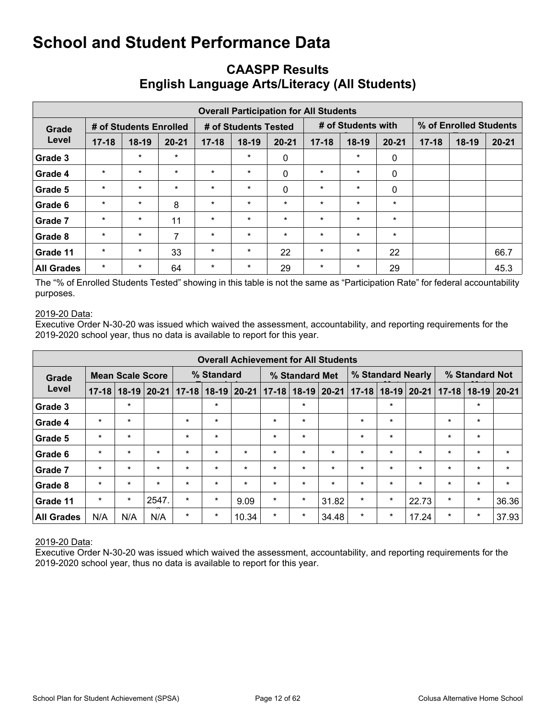| <b>Overall Participation for All Students</b> |           |         |           |           |                      |             |           |                    |           |           |                        |           |  |
|-----------------------------------------------|-----------|---------|-----------|-----------|----------------------|-------------|-----------|--------------------|-----------|-----------|------------------------|-----------|--|
| # of Students Enrolled<br>Grade               |           |         |           |           | # of Students Tested |             |           | # of Students with |           |           | % of Enrolled Students |           |  |
| Level                                         | $17 - 18$ | $18-19$ | $20 - 21$ | $17 - 18$ | $18-19$              | $20 - 21$   | $17 - 18$ | $18-19$            | $20 - 21$ | $17 - 18$ | 18-19                  | $20 - 21$ |  |
| Grade 3                                       |           | $\star$ | $\star$   |           | $\star$              | 0           |           | $\ast$             | 0         |           |                        |           |  |
| Grade 4                                       | $\ast$    | $\star$ | $\star$   | $\star$   | $\star$              | 0           | $\star$   | $\ast$             | 0         |           |                        |           |  |
| Grade 5                                       | $\star$   | $\star$ | $\star$   | $\star$   | $\star$              | $\mathbf 0$ | $\star$   | $\ast$             | 0         |           |                        |           |  |
| Grade 6                                       | $\star$   | $\star$ | 8         | $\star$   | $\star$              | $\star$     | $\star$   | $\star$            | $\star$   |           |                        |           |  |
| Grade 7                                       | $\star$   | $\star$ | 11        | $\star$   | $\star$              | $\star$     | $\star$   | $\star$            | $\star$   |           |                        |           |  |
| Grade 8                                       | $\star$   | $\star$ | 7         | $\star$   | $\star$              | $\star$     | $\star$   | $\ast$             | $\star$   |           |                        |           |  |
| Grade 11                                      | $\star$   | $\star$ | 33        | $\star$   | $\star$              | 22          | $\star$   | $\ast$             | 22        |           |                        | 66.7      |  |
| <b>All Grades</b>                             | $\star$   | $\star$ | 64        | $\star$   | $\star$              | 29          | $\star$   | $\star$            | 29        |           |                        | 45.3      |  |

### <span id="page-11-0"></span>**CAASPP Results English Language Arts/Literacy (All Students)**

The "% of Enrolled Students Tested" showing in this table is not the same as "Participation Rate" for federal accountability purposes.

#### 2019-20 Data:

Executive Order N-30-20 was issued which waived the assessment, accountability, and reporting requirements for the 2019-2020 school year, thus no data is available to report for this year.

| <b>Overall Achievement for All Students</b> |           |                         |         |           |            |           |           |                |           |           |                   |           |           |                |           |  |
|---------------------------------------------|-----------|-------------------------|---------|-----------|------------|-----------|-----------|----------------|-----------|-----------|-------------------|-----------|-----------|----------------|-----------|--|
| Grade                                       |           | <b>Mean Scale Score</b> |         |           | % Standard |           |           | % Standard Met |           |           | % Standard Nearly |           |           | % Standard Not |           |  |
| Level                                       | $17 - 18$ | $18 - 19$               | 20-21   | $17 - 18$ | $18-19$    | $20 - 21$ | $17 - 18$ | $18 - 19$      | $20 - 21$ | $17 - 18$ | $18-19$           | $20 - 21$ | $17 - 18$ | $18-19$        | $20 - 21$ |  |
| Grade 3                                     |           | $\ast$                  |         |           | $\star$    |           |           | $\star$        |           |           | $\star$           |           |           | $\star$        |           |  |
| Grade 4                                     | $\star$   | $\ast$                  |         | $\star$   | $\star$    |           | $\star$   | $\star$        |           | $\star$   | $\star$           |           | $\star$   | $\star$        |           |  |
| Grade 5                                     | $\star$   | $\ast$                  |         | $\star$   | $\star$    |           | $\star$   | $\star$        |           | $\star$   | $\star$           |           | $\star$   | $\star$        |           |  |
| Grade 6                                     | $\star$   | $\star$                 | $\star$ | $\star$   | $\star$    | $\star$   | $\star$   | $\star$        | $\star$   | $\star$   | $\star$           | $\star$   | $\star$   | $\star$        | $\star$   |  |
| Grade 7                                     | $\star$   | $\star$                 | $\star$ | $\star$   | $\star$    | $\star$   | $\star$   | $\star$        | $\star$   | $\star$   | $\star$           | $\star$   | $\star$   | $\star$        | $\star$   |  |
| Grade 8                                     | $\star$   | $\star$                 | $\star$ | $\star$   | $\star$    | $\star$   | $\star$   | $\star$        | $\star$   | $\star$   | $\star$           | $\star$   | $\star$   | $\star$        | $\star$   |  |
| Grade 11                                    | $\star$   | $\star$                 | 2547.   | $\ast$    | $\star$    | 9.09      | $\star$   | $\star$        | 31.82     | $\star$   | $\star$           | 22.73     | $\star$   | $\star$        | 36.36     |  |
| <b>All Grades</b>                           | N/A       | N/A                     | N/A     | $\ast$    | $\star$    | 10.34     | $\star$   | $\star$        | 34.48     | $\star$   | $\ast$            | 17.24     | $\star$   | $\star$        | 37.93     |  |

2019-20 Data:

Executive Order N-30-20 was issued which waived the assessment, accountability, and reporting requirements for the 2019-2020 school year, thus no data is available to report for this year.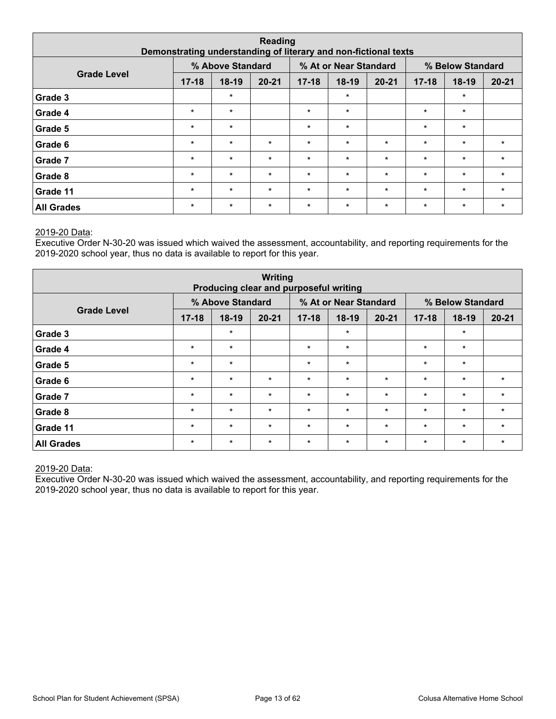| <b>Reading</b><br>Demonstrating understanding of literary and non-fictional texts |           |                  |           |           |                       |           |                  |         |           |  |
|-----------------------------------------------------------------------------------|-----------|------------------|-----------|-----------|-----------------------|-----------|------------------|---------|-----------|--|
|                                                                                   |           | % Above Standard |           |           | % At or Near Standard |           | % Below Standard |         |           |  |
| <b>Grade Level</b>                                                                | $17 - 18$ | 18-19            | $20 - 21$ | $17 - 18$ | 18-19                 | $20 - 21$ | $17 - 18$        | $18-19$ | $20 - 21$ |  |
| Grade 3                                                                           |           | $\star$          |           |           | $\star$               |           |                  | $\star$ |           |  |
| Grade 4                                                                           | $\star$   | $\star$          |           | $\star$   | $\star$               |           | $\star$          | $\star$ |           |  |
| Grade 5                                                                           | $\star$   | $\star$          |           | $\star$   | $\star$               |           | $\star$          | $\star$ |           |  |
| Grade 6                                                                           | $\star$   | $\star$          | $\star$   | $\star$   | $\star$               | $\star$   | $\star$          | $\star$ | $\star$   |  |
| Grade 7                                                                           | $\star$   | $\star$          | $\star$   | $\star$   | $\star$               | $\star$   | $\star$          | $\star$ | $\star$   |  |
| Grade 8                                                                           | $\star$   | $\star$          | $\star$   | $\star$   | $\star$               | $\star$   | $\star$          | $\star$ | $\star$   |  |
| Grade 11                                                                          | $\star$   | $\star$          | $\star$   | $\star$   | $\star$               | $\star$   | $\star$          | $\star$ | $\star$   |  |
| <b>All Grades</b>                                                                 | $\star$   | $\star$          | $\star$   | $\star$   | $\star$               | $\star$   | $\ast$           | $\ast$  | $\star$   |  |

#### 2019-20 Data:

Executive Order N-30-20 was issued which waived the assessment, accountability, and reporting requirements for the 2019-2020 school year, thus no data is available to report for this year.

| Writing<br>Producing clear and purposeful writing |           |                  |           |           |                       |           |           |                  |           |  |
|---------------------------------------------------|-----------|------------------|-----------|-----------|-----------------------|-----------|-----------|------------------|-----------|--|
|                                                   |           | % Above Standard |           |           | % At or Near Standard |           |           | % Below Standard |           |  |
| <b>Grade Level</b>                                | $17 - 18$ | $18-19$          | $20 - 21$ | $17 - 18$ | $18-19$               | $20 - 21$ | $17 - 18$ | $18-19$          | $20 - 21$ |  |
| Grade 3                                           |           | $\star$          |           |           | $\star$               |           |           | $\star$          |           |  |
| Grade 4                                           | $\star$   | $\star$          |           | $\star$   | $\star$               |           | $\star$   | $\star$          |           |  |
| Grade 5                                           | $\star$   | $\star$          |           | $\star$   | $\star$               |           | $\star$   | $\ast$           |           |  |
| Grade 6                                           | $\star$   | $\star$          | $\star$   | $\star$   | $\star$               | $\star$   | $\star$   | $\star$          | $\star$   |  |
| Grade 7                                           | $\star$   | $\star$          | $\star$   | $\star$   | $\star$               | $\star$   | $\star$   | $\ast$           | $\star$   |  |
| Grade 8                                           | $\star$   | $\star$          | $\star$   | $\star$   | $\star$               | $\star$   | $\star$   | $\star$          | $\star$   |  |
| Grade 11                                          | $\star$   | $\star$          | $\star$   | $\star$   | $\star$               | $\star$   | $\star$   | $\star$          | $\star$   |  |
| <b>All Grades</b>                                 | $\star$   | $\star$          | $\star$   | $\star$   | $\star$               | $\star$   | $\star$   | $\ast$           | $\star$   |  |

#### 2019-20 Data:

Executive Order N-30-20 was issued which waived the assessment, accountability, and reporting requirements for the 2019-2020 school year, thus no data is available to report for this year.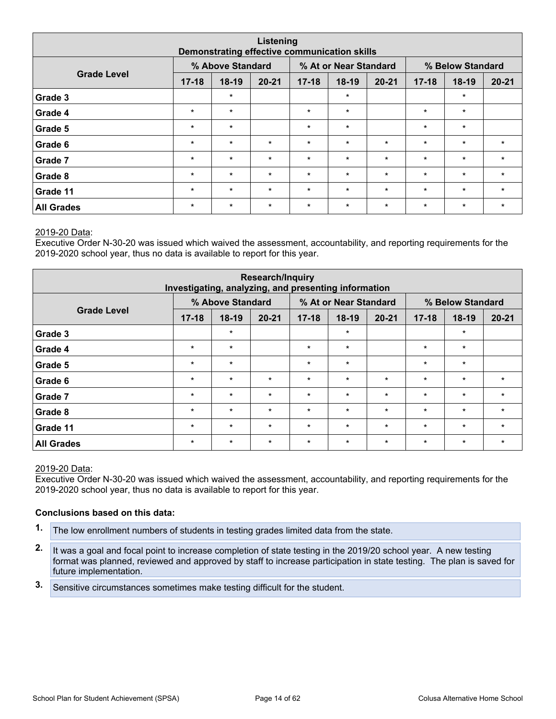| Listening<br>Demonstrating effective communication skills |           |                  |           |           |                       |           |           |                  |           |  |
|-----------------------------------------------------------|-----------|------------------|-----------|-----------|-----------------------|-----------|-----------|------------------|-----------|--|
|                                                           |           | % Above Standard |           |           | % At or Near Standard |           |           | % Below Standard |           |  |
| <b>Grade Level</b>                                        | $17 - 18$ | $18-19$          | $20 - 21$ | $17 - 18$ | $18-19$               | $20 - 21$ | $17 - 18$ | $18-19$          | $20 - 21$ |  |
| Grade 3                                                   |           | $\star$          |           |           | $\star$               |           |           | $\star$          |           |  |
| Grade 4                                                   | $\star$   | $\star$          |           | $\star$   | $\star$               |           | $\star$   | $\ast$           |           |  |
| Grade 5                                                   | $\star$   | $\star$          |           | $\star$   | $\star$               |           | $\star$   | $\star$          |           |  |
| Grade 6                                                   | $\star$   | $\star$          | $\star$   | $\star$   | $\star$               | $\star$   | $\star$   | $\star$          | $\star$   |  |
| Grade 7                                                   | $\star$   | $\star$          | $\star$   | $\star$   | $\star$               | $\star$   | $\star$   | $\star$          | $\star$   |  |
| Grade 8                                                   | $\star$   | $\star$          | $\star$   | $\star$   | $\star$               | $\star$   | $\star$   | $\star$          | $\star$   |  |
| Grade 11                                                  | $\star$   | $\star$          | $\star$   | $\star$   | $\star$               | $\star$   | $\star$   | $\star$          | $\star$   |  |
| <b>All Grades</b>                                         | $\star$   | $\star$          | $\star$   | $\star$   | $\star$               | $\star$   | $\ast$    | $\star$          | $\star$   |  |

#### 2019-20 Data:

Executive Order N-30-20 was issued which waived the assessment, accountability, and reporting requirements for the 2019-2020 school year, thus no data is available to report for this year.

| <b>Research/Inquiry</b><br>Investigating, analyzing, and presenting information |           |                  |           |           |                       |           |           |                  |           |  |
|---------------------------------------------------------------------------------|-----------|------------------|-----------|-----------|-----------------------|-----------|-----------|------------------|-----------|--|
|                                                                                 |           | % Above Standard |           |           | % At or Near Standard |           |           | % Below Standard |           |  |
| <b>Grade Level</b>                                                              | $17 - 18$ | $18-19$          | $20 - 21$ | $17 - 18$ | $18-19$               | $20 - 21$ | $17 - 18$ | $18-19$          | $20 - 21$ |  |
| Grade 3                                                                         |           | $\star$          |           |           | $\star$               |           |           | $\star$          |           |  |
| Grade 4                                                                         | $\star$   | $\star$          |           | $\star$   | $\star$               |           | $\star$   | $\ast$           |           |  |
| Grade 5                                                                         | $\star$   | $\star$          |           | $\star$   | $\star$               |           | $\star$   | $\star$          |           |  |
| Grade 6                                                                         | $\star$   | $\star$          | $\star$   | $\star$   | $\star$               | $\star$   | $\star$   | $\star$          | $\star$   |  |
| Grade 7                                                                         | $\star$   | $\star$          | $\star$   | $\star$   | $\star$               | $\star$   | $\star$   | $\star$          | $\star$   |  |
| Grade 8                                                                         | $\star$   | $\star$          | $\star$   | $\star$   | $\star$               | $\star$   | $\star$   | $\star$          | $\star$   |  |
| Grade 11                                                                        | $\star$   | $\star$          | $\star$   | $\star$   | $\star$               | $\star$   | $\star$   | $\star$          | $\star$   |  |
| <b>All Grades</b>                                                               | $\star$   | $\star$          | $\star$   | $\star$   | $\ast$                | $\star$   | $\ast$    | $\ast$           | $\star$   |  |

#### 2019-20 Data:

Executive Order N-30-20 was issued which waived the assessment, accountability, and reporting requirements for the 2019-2020 school year, thus no data is available to report for this year.

#### **Conclusions based on this data:**

- **1.** The low enrollment numbers of students in testing grades limited data from the state.
- **2.** It was a goal and focal point to increase completion of state testing in the 2019/20 school year. A new testing format was planned, reviewed and approved by staff to increase participation in state testing. The plan is saved for future implementation.
- **3.** Sensitive circumstances sometimes make testing difficult for the student.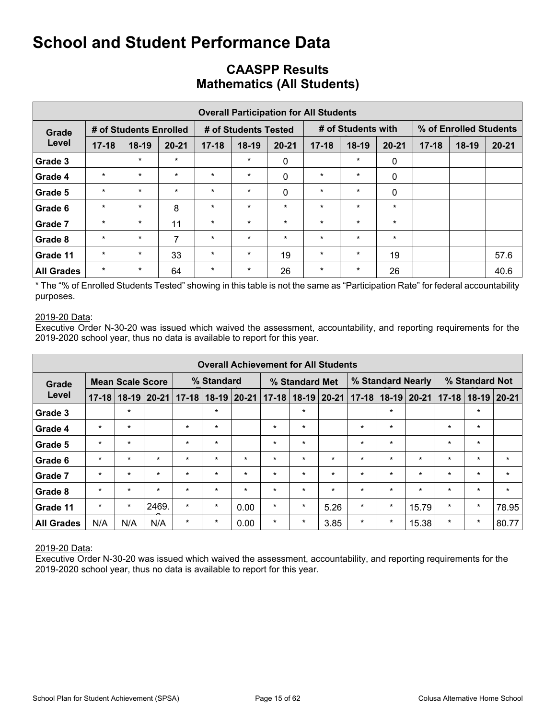|                   |           |                        |           |           |                      |              | <b>Overall Participation for All Students</b> |                    |           |           |                        |           |
|-------------------|-----------|------------------------|-----------|-----------|----------------------|--------------|-----------------------------------------------|--------------------|-----------|-----------|------------------------|-----------|
| Grade             |           | # of Students Enrolled |           |           | # of Students Tested |              |                                               | # of Students with |           |           | % of Enrolled Students |           |
| Level             | $17 - 18$ | $18-19$                | $20 - 21$ | $17 - 18$ | $18-19$              | $20 - 21$    | $17 - 18$                                     | $18-19$            | $20 - 21$ | $17 - 18$ | $18-19$                | $20 - 21$ |
| Grade 3           |           | $\ast$                 | $\star$   |           | $\star$              | 0            |                                               | $\ast$             | 0         |           |                        |           |
| Grade 4           | $\star$   | $\star$                | $\star$   | $\star$   | $\star$              | 0            | $\ast$                                        | $\star$            | 0         |           |                        |           |
| Grade 5           | $\star$   | $\star$                | $\star$   | $\star$   | $\star$              | $\mathbf{0}$ | $\star$                                       | $\star$            | 0         |           |                        |           |
| Grade 6           | $\star$   | $\star$                | 8         | $\star$   | $\star$              | $\star$      | $\star$                                       | $\star$            | $\star$   |           |                        |           |
| Grade 7           | $\star$   | $\star$                | 11        | $\star$   | $\star$              | $\star$      | $\star$                                       | $\star$            | $\star$   |           |                        |           |
| Grade 8           | $\star$   | $\star$                | 7         | $\star$   | $\star$              | $\star$      | $\star$                                       | $\star$            | $\star$   |           |                        |           |
| Grade 11          | $\star$   | $\star$                | 33        | $\star$   | $\star$              | 19           | $\star$                                       | $\star$            | 19        |           |                        | 57.6      |
| <b>All Grades</b> | $\star$   | $\star$                | 64        | $\star$   | $\star$              | 26           | $\star$                                       | $\star$            | 26        |           |                        | 40.6      |

### **CAASPP Results Mathematics (All Students)**

\* The "% of Enrolled Students Tested" showing in this table is not the same as "Participation Rate" for federal accountability purposes.

#### 2019-20 Data:

Executive Order N-30-20 was issued which waived the assessment, accountability, and reporting requirements for the 2019-2020 school year, thus no data is available to report for this year.

|                   |           |                         |           |           |            | <b>Overall Achievement for All Students</b> |           |                |         |           |                   |           |           |                |           |
|-------------------|-----------|-------------------------|-----------|-----------|------------|---------------------------------------------|-----------|----------------|---------|-----------|-------------------|-----------|-----------|----------------|-----------|
| Grade             |           | <b>Mean Scale Score</b> |           |           | % Standard |                                             |           | % Standard Met |         |           | % Standard Nearly |           |           | % Standard Not |           |
| Level             | $17 - 18$ | $18 - 19$               | $20 - 21$ | $17 - 18$ | $18 - 19$  | $20 - 21$                                   | $17 - 18$ | 18-19 20-21    |         | $17 - 18$ | $18-19$           | $20 - 21$ | $17 - 18$ | $18-19$        | $20 - 21$ |
| Grade 3           |           | $\star$                 |           |           | $\star$    |                                             |           | $\star$        |         |           | $\ast$            |           |           | $\star$        |           |
| Grade 4           | $\star$   | $\star$                 |           | $\star$   | $\star$    |                                             | $\star$   | $\star$        |         | $\star$   | $\star$           |           | $\star$   | $\star$        |           |
| Grade 5           | $\star$   | $\star$                 |           | $\star$   | $\star$    |                                             | $\star$   | $\star$        |         | $\star$   | $\ast$            |           | $\star$   | $\star$        |           |
| Grade 6           | $\star$   | $\star$                 | $\star$   | $\star$   | $\star$    | $\star$                                     | $\star$   | $\star$        | $\star$ | $\star$   | $\star$           | $\star$   | $\star$   | $\star$        | $\star$   |
| Grade 7           | $\star$   | $\star$                 | $\star$   | $\star$   | $\star$    | $\star$                                     | $\star$   | $\star$        | $\star$ | $\star$   | $\star$           | $\star$   | $\star$   | $\star$        | $\star$   |
| Grade 8           | $\star$   | $\star$                 | $\star$   | $\star$   | $\star$    | $\star$                                     | $\star$   | $\star$        | $\star$ | $\star$   | $\star$           | $\star$   | $\star$   | $\star$        | $\star$   |
| Grade 11          | $\star$   | $\star$                 | 2469.     | $\ast$    | $\star$    | 0.00                                        | $\star$   | $\star$        | 5.26    | $\star$   | $\ast$            | 15.79     | $\star$   | $\star$        | 78.95     |
| <b>All Grades</b> | N/A       | N/A                     | N/A       | $\star$   | $\ast$     | 0.00                                        | $\star$   | $\star$        | 3.85    | $\star$   | $\star$           | 15.38     | $\ast$    | $\star$        | 80.77     |

#### 2019-20 Data:

Executive Order N-30-20 was issued which waived the assessment, accountability, and reporting requirements for the 2019-2020 school year, thus no data is available to report for this year.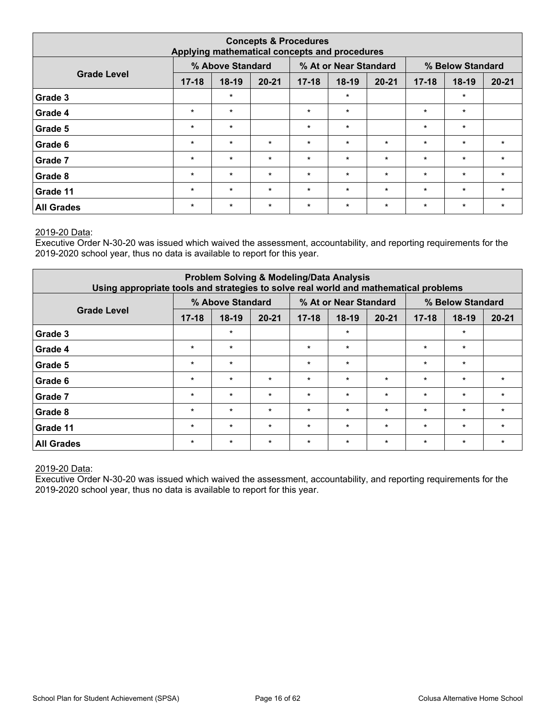|                    | Applying mathematical concepts and procedures |                  | <b>Concepts &amp; Procedures</b> |           |                       |           |           |                  |           |
|--------------------|-----------------------------------------------|------------------|----------------------------------|-----------|-----------------------|-----------|-----------|------------------|-----------|
|                    |                                               | % Above Standard |                                  |           | % At or Near Standard |           |           | % Below Standard |           |
| <b>Grade Level</b> | $17 - 18$                                     | $18-19$          | $20 - 21$                        | $17 - 18$ | $18-19$               | $20 - 21$ | $17 - 18$ | $18-19$          | $20 - 21$ |
| Grade 3            |                                               | $\star$          |                                  |           | $\star$               |           |           | $\star$          |           |
| Grade 4            | $\star$                                       | $\star$          |                                  | $\star$   | $\star$               |           | $\star$   | $\ast$           |           |
| Grade 5            | $\star$                                       | $\star$          |                                  | $\star$   | $\star$               |           | $\star$   | $\star$          |           |
| Grade 6            | $\star$                                       | $\star$          | $\star$                          | $\star$   | $\star$               | $\star$   | $\star$   | $\star$          | $\star$   |
| Grade 7            | $\star$                                       | $\star$          | $\star$                          | $\star$   | $\star$               | $\star$   | $\star$   | $\star$          | $\star$   |
| Grade 8            | $\star$                                       | $\star$          | $\star$                          | $\star$   | $\star$               | $\star$   | $\star$   | $\star$          | $\star$   |
| Grade 11           | $\star$                                       | $\star$          | $\star$                          | $\star$   | $\star$               | $\star$   | $\star$   | $\star$          | $\star$   |
| <b>All Grades</b>  | $\star$                                       | $\star$          | $\star$                          | $\star$   | $\star$               | $\star$   | $\star$   | $\ast$           | $\star$   |

#### 2019-20 Data:

Executive Order N-30-20 was issued which waived the assessment, accountability, and reporting requirements for the 2019-2020 school year, thus no data is available to report for this year.

| Using appropriate tools and strategies to solve real world and mathematical problems |           |                  | <b>Problem Solving &amp; Modeling/Data Analysis</b> |           |                       |           |           |                  |           |
|--------------------------------------------------------------------------------------|-----------|------------------|-----------------------------------------------------|-----------|-----------------------|-----------|-----------|------------------|-----------|
|                                                                                      |           | % Above Standard |                                                     |           | % At or Near Standard |           |           | % Below Standard |           |
| <b>Grade Level</b>                                                                   | $17 - 18$ | $18-19$          | $20 - 21$                                           | $17 - 18$ | $18-19$               | $20 - 21$ | $17 - 18$ | $18-19$          | $20 - 21$ |
| Grade 3                                                                              |           | $\star$          |                                                     |           | $\star$               |           |           | $\star$          |           |
| Grade 4                                                                              | $\star$   | $\star$          |                                                     | $\star$   | $\star$               |           | $\star$   | $\ast$           |           |
| Grade 5                                                                              | $\star$   | $\star$          |                                                     | $\star$   | $\star$               |           | $\star$   | $\star$          |           |
| Grade 6                                                                              | $\star$   | $\star$          | $\star$                                             | $\star$   | $\star$               | $\star$   | $\star$   | $\star$          | $\star$   |
| Grade 7                                                                              | $\star$   | $\star$          | $\star$                                             | $\star$   | $\star$               | $\star$   | $\star$   | $\star$          | $\star$   |
| Grade 8                                                                              | $\star$   | $\star$          | $\star$                                             | $\star$   | $\star$               | $\star$   | $\star$   | $\star$          | $\star$   |
| Grade 11                                                                             | $\star$   | $\star$          | $\star$                                             | $\star$   | $\star$               | $\star$   | $\star$   | $\star$          | $\star$   |
| <b>All Grades</b>                                                                    | $\star$   | $\star$          | $\star$                                             | $\star$   | $\star$               | $\star$   | $\ast$    | $\star$          | $\star$   |

#### 2019-20 Data:

Executive Order N-30-20 was issued which waived the assessment, accountability, and reporting requirements for the 2019-2020 school year, thus no data is available to report for this year.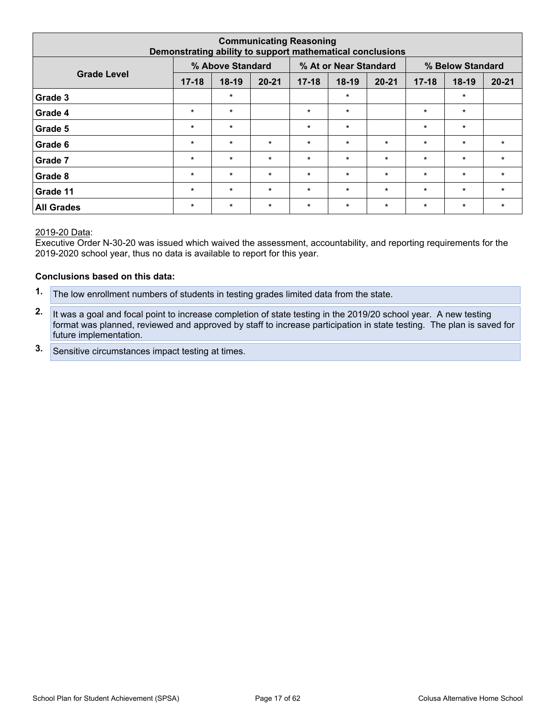|                    | Demonstrating ability to support mathematical conclusions |                  | <b>Communicating Reasoning</b> |           |                       |           |           |                  |           |
|--------------------|-----------------------------------------------------------|------------------|--------------------------------|-----------|-----------------------|-----------|-----------|------------------|-----------|
|                    |                                                           | % Above Standard |                                |           | % At or Near Standard |           |           | % Below Standard |           |
| <b>Grade Level</b> | $17 - 18$                                                 | $18-19$          | $20 - 21$                      | $17 - 18$ | $18-19$               | $20 - 21$ | $17 - 18$ | $18-19$          | $20 - 21$ |
| Grade 3            |                                                           | $\star$          |                                |           | $\star$               |           |           | $\star$          |           |
| Grade 4            | $\star$                                                   | $\star$          |                                | $\star$   | $\star$               |           | $\star$   | $\ast$           |           |
| Grade 5            | $\star$                                                   | $\star$          |                                | $\star$   | $\star$               |           | $\star$   | $\star$          |           |
| Grade 6            | $\star$                                                   | $\star$          | $\star$                        | $\star$   | $\star$               | $\star$   | $\star$   | $\star$          | $\star$   |
| Grade 7            | $\star$                                                   | $\star$          | $\star$                        | $\star$   | $\star$               | $\star$   | $\star$   | $\ast$           | $\star$   |
| Grade 8            | $\star$                                                   | $\star$          | $\star$                        | $\star$   | $\star$               | $\star$   | $\star$   | $\star$          | $\star$   |
| Grade 11           | $\star$                                                   | $\star$          | $\star$                        | $\star$   | $\star$               | $\star$   | $\star$   | $\star$          | $\star$   |
| <b>All Grades</b>  | $\star$                                                   | $\star$          | $\star$                        | $\star$   | $\star$               | $\star$   | $\star$   | $\star$          | $\star$   |

#### 2019-20 Data:

Executive Order N-30-20 was issued which waived the assessment, accountability, and reporting requirements for the 2019-2020 school year, thus no data is available to report for this year.

#### **Conclusions based on this data:**

- **1.** The low enrollment numbers of students in testing grades limited data from the state.
- **2.** It was a goal and focal point to increase completion of state testing in the 2019/20 school year. A new testing format was planned, reviewed and approved by staff to increase participation in state testing. The plan is saved for future implementation.
- **3.** Sensitive circumstances impact testing at times.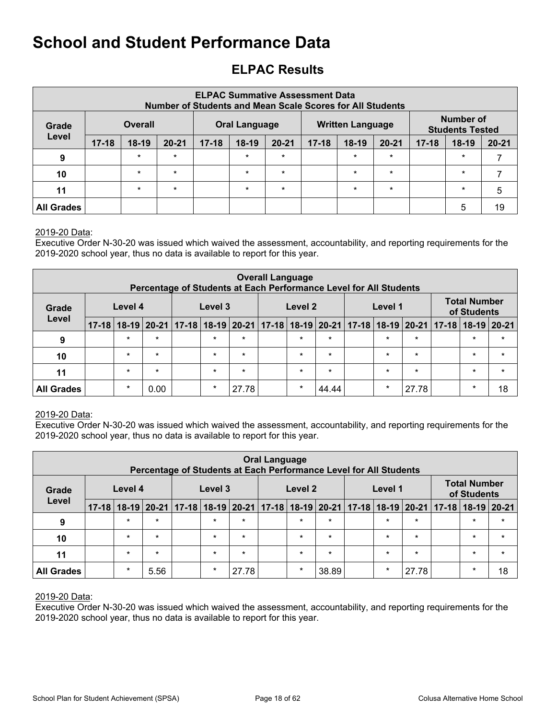### <span id="page-17-0"></span>**ELPAC Results**

|                   |           |                | <b>Number of Students and Mean Scale Scores for All Students</b> |           | <b>ELPAC Summative Assessment Data</b> |           |           |                         |           |           |                                            |           |
|-------------------|-----------|----------------|------------------------------------------------------------------|-----------|----------------------------------------|-----------|-----------|-------------------------|-----------|-----------|--------------------------------------------|-----------|
| Grade             |           | <b>Overall</b> |                                                                  |           | <b>Oral Language</b>                   |           |           | <b>Written Language</b> |           |           | <b>Number of</b><br><b>Students Tested</b> |           |
| Level             | $17 - 18$ | $18-19$        | $20 - 21$                                                        | $17 - 18$ | 18-19                                  | $20 - 21$ | $17 - 18$ | $18-19$                 | $20 - 21$ | $17 - 18$ | $18-19$                                    | $20 - 21$ |
| 9                 |           | $\ast$         | $\star$                                                          |           | $\star$                                | $\star$   |           | $\star$                 | $\star$   |           | $\star$                                    |           |
| 10                |           | $\star$        | $\star$                                                          |           | $\star$                                | $\star$   |           | $\star$                 | $\star$   |           | $\star$                                    |           |
| 11                |           | $\ast$         | $\star$                                                          |           | $\star$                                | $\star$   |           | $\star$                 | $\star$   |           | $\star$                                    | 5         |
| <b>All Grades</b> |           |                |                                                                  |           |                                        |           |           |                         |           |           | 5                                          | 19        |

#### 2019-20 Data:

Executive Order N-30-20 was issued which waived the assessment, accountability, and reporting requirements for the 2019-2020 school year, thus no data is available to report for this year.

|                   |                                                                                                                                                                                                            |         |         | Percentage of Students at Each Performance Level for All Students |         |         | <b>Overall Language</b> |         |         |  |         |         |  |         |         |
|-------------------|------------------------------------------------------------------------------------------------------------------------------------------------------------------------------------------------------------|---------|---------|-------------------------------------------------------------------|---------|---------|-------------------------|---------|---------|--|---------|---------|--|---------|---------|
| Grade             | <b>Total Number</b><br>Level 4<br>Level 3<br>Level 2<br>Level 1<br>of Students<br>18-19 20-21   17-18   18-19   20-21   17-18   18-19   20-21   17-18   18-19   20-21   17-18   18-19   20-21<br>$17 - 18$ |         |         |                                                                   |         |         |                         |         |         |  |         |         |  |         |         |
| Level             |                                                                                                                                                                                                            |         |         |                                                                   |         |         |                         |         |         |  |         |         |  |         |         |
| 9                 |                                                                                                                                                                                                            | $\star$ | $\star$ |                                                                   | $\star$ | $\star$ |                         | $\star$ | $\star$ |  | $\star$ | $\star$ |  | $\star$ | $\star$ |
| 10                |                                                                                                                                                                                                            | $\star$ | $\star$ |                                                                   | $\star$ | $\star$ |                         | $\star$ | $\star$ |  | $\star$ | $\star$ |  | $\star$ | $\star$ |
| 11                |                                                                                                                                                                                                            | $\star$ | $\star$ |                                                                   | $\star$ | $\star$ |                         | $\star$ | $\star$ |  | $\star$ | $\star$ |  | $\star$ | $\star$ |
| <b>All Grades</b> |                                                                                                                                                                                                            | $\ast$  | 0.00    |                                                                   | $\star$ | 27.78   |                         | $\star$ | 44.44   |  | $\star$ | 27.78   |  | $\star$ | 18      |

#### 2019-20 Data:

Executive Order N-30-20 was issued which waived the assessment, accountability, and reporting requirements for the 2019-2020 school year, thus no data is available to report for this year.

|                   |                                                                                                                                                                                                 |         |         | Percentage of Students at Each Performance Level for All Students |         |         | <b>Oral Language</b> |         |         |  |         |         |  |         |         |
|-------------------|-------------------------------------------------------------------------------------------------------------------------------------------------------------------------------------------------|---------|---------|-------------------------------------------------------------------|---------|---------|----------------------|---------|---------|--|---------|---------|--|---------|---------|
| Grade             | <b>Total Number</b><br>Level 4<br>Level 3<br>Level 2<br>Level 1<br>of Students<br>18-19 20-21 17-18 18-19 20-21 17-18 18-19 20-21<br>17-18   18-19   20-21   17-18   18-19   20-21<br>$17 - 18$ |         |         |                                                                   |         |         |                      |         |         |  |         |         |  |         |         |
| Level             |                                                                                                                                                                                                 |         |         |                                                                   |         |         |                      |         |         |  |         |         |  |         |         |
| 9                 |                                                                                                                                                                                                 | $\star$ | $\star$ |                                                                   | $\star$ | $\star$ |                      | $\star$ | $\star$ |  | $\star$ | $\star$ |  | $\star$ | $\star$ |
| 10                |                                                                                                                                                                                                 | $\star$ | $\star$ |                                                                   | $\star$ | $\star$ |                      | $\star$ | $\star$ |  | $\star$ | $\star$ |  | $\star$ | $\star$ |
| 11                |                                                                                                                                                                                                 | $\star$ | $\star$ |                                                                   | $\star$ | $\star$ |                      | $\star$ | $\star$ |  | $\star$ | $\star$ |  | $\star$ | $\star$ |
| <b>All Grades</b> |                                                                                                                                                                                                 | $\star$ | 5.56    |                                                                   | $\star$ | 27.78   |                      | $\star$ | 38.89   |  | $\star$ | 27.78   |  | $\star$ | 18      |

#### 2019-20 Data:

Executive Order N-30-20 was issued which waived the assessment, accountability, and reporting requirements for the 2019-2020 school year, thus no data is available to report for this year.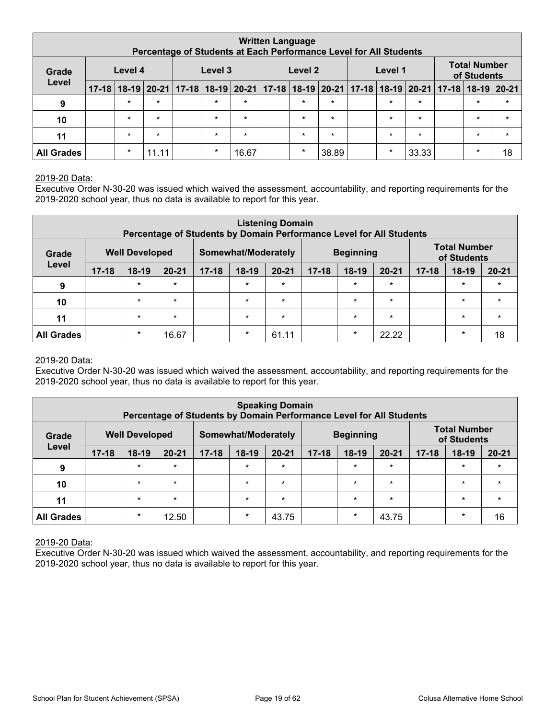|                   |           |         |         | Percentage of Students at Each Performance Level for All Students |         |         | <b>Written Language</b> |         |         |         |                                               |                                    |         |
|-------------------|-----------|---------|---------|-------------------------------------------------------------------|---------|---------|-------------------------|---------|---------|---------|-----------------------------------------------|------------------------------------|---------|
| Grade             |           | Level 4 |         |                                                                   | Level 3 |         | Level 2                 |         | Level 1 |         |                                               | <b>Total Number</b><br>of Students |         |
| Level             | $17 - 18$ |         |         | 18-19 20-21 17-18 18-19 20-21 17-18 18-19 20-21                   |         |         |                         |         |         |         | 17-18   18-19   20-21   17-18   18-19   20-21 |                                    |         |
| 9                 |           | $\star$ | $\star$ |                                                                   | $\star$ | $\star$ | $\star$                 | $\star$ | $\star$ | $\star$ |                                               | $\star$                            | $\star$ |
| 10                |           | $\star$ | $\star$ |                                                                   | $\star$ | $\star$ | $\star$                 | $\star$ | $\star$ | $\star$ |                                               | $\star$                            | $\star$ |
| 11                |           | $\star$ | $\star$ |                                                                   | $\star$ | $\star$ | $\star$                 | $\star$ | $\star$ | $\star$ |                                               | $\star$                            | $\star$ |
| <b>All Grades</b> |           | $\star$ | 11.11   |                                                                   | $\star$ | 16.67   | $\star$                 | 38.89   | $\ast$  | 33.33   |                                               | $\ast$                             | 18      |

#### 2019-20 Data:

Executive Order N-30-20 was issued which waived the assessment, accountability, and reporting requirements for the 2019-2020 school year, thus no data is available to report for this year.

|                   |           |                       | Percentage of Students by Domain Performance Level for All Students |           |                     | <b>Listening Domain</b> |           |                  |           |           |                                    |           |
|-------------------|-----------|-----------------------|---------------------------------------------------------------------|-----------|---------------------|-------------------------|-----------|------------------|-----------|-----------|------------------------------------|-----------|
| Grade             |           | <b>Well Developed</b> |                                                                     |           | Somewhat/Moderately |                         |           | <b>Beginning</b> |           |           | <b>Total Number</b><br>of Students |           |
| Level             | $17 - 18$ | $18-19$               | $20 - 21$                                                           | $17 - 18$ | $18-19$             | $20 - 21$               | $17 - 18$ | $18-19$          | $20 - 21$ | $17 - 18$ | $18-19$                            | $20 - 21$ |
| 9                 |           | $\star$               | $\star$                                                             |           | $\star$             | $\star$                 |           | $\star$          | $\star$   |           | $\star$                            | $\star$   |
| 10                |           | $\star$               | $\star$                                                             |           | $\star$             | $\star$                 |           | $\star$          | $\star$   |           | $\star$                            | $\star$   |
| 11                |           | $\star$               | $\star$                                                             |           | $\star$             | $\star$                 |           | $\star$          | $\star$   |           | $\star$                            | $\star$   |
| <b>All Grades</b> |           | $\ast$                | 16.67                                                               |           | $\star$             | 61.11                   |           | $\star$          | 22.22     |           | $\ast$                             | 18        |

#### 2019-20 Data:

Executive Order N-30-20 was issued which waived the assessment, accountability, and reporting requirements for the 2019-2020 school year, thus no data is available to report for this year.

|                   |                                                                                                                                                                                                                                                                                  |         |         |  |         | <b>Speaking Domain</b><br>Percentage of Students by Domain Performance Level for All Students |  |         |         |  |         |         |  |
|-------------------|----------------------------------------------------------------------------------------------------------------------------------------------------------------------------------------------------------------------------------------------------------------------------------|---------|---------|--|---------|-----------------------------------------------------------------------------------------------|--|---------|---------|--|---------|---------|--|
| Grade             | <b>Total Number</b><br>Somewhat/Moderately<br><b>Well Developed</b><br><b>Beginning</b><br>of Students<br>$20 - 21$<br>$18-19$<br>$17 - 18$<br>$20 - 21$<br>$18-19$<br>$20 - 21$<br>$17 - 18$<br>$18-19$<br>$17 - 18$<br>$18-19$<br>$17 - 18$<br>$20 - 21$<br>$\star$<br>$\star$ |         |         |  |         |                                                                                               |  |         |         |  |         |         |  |
| Level             |                                                                                                                                                                                                                                                                                  |         |         |  |         |                                                                                               |  |         |         |  |         |         |  |
| 9                 |                                                                                                                                                                                                                                                                                  | $\star$ | $\star$ |  | $\star$ | $\star$                                                                                       |  |         | $\star$ |  | $\star$ |         |  |
| 10                |                                                                                                                                                                                                                                                                                  | $\star$ | $\star$ |  | $\star$ | $\star$                                                                                       |  | $\star$ | $\star$ |  | $\star$ | $\star$ |  |
| 11                |                                                                                                                                                                                                                                                                                  | $\star$ | $\star$ |  | $\star$ | $\star$                                                                                       |  | $\star$ | $\star$ |  | $\star$ | $\star$ |  |
| <b>All Grades</b> |                                                                                                                                                                                                                                                                                  | $\ast$  | 12.50   |  | $\star$ | 43.75                                                                                         |  | $\star$ | 43.75   |  | $\star$ | 16      |  |

2019-20 Data:

Executive Order N-30-20 was issued which waived the assessment, accountability, and reporting requirements for the 2019-2020 school year, thus no data is available to report for this year.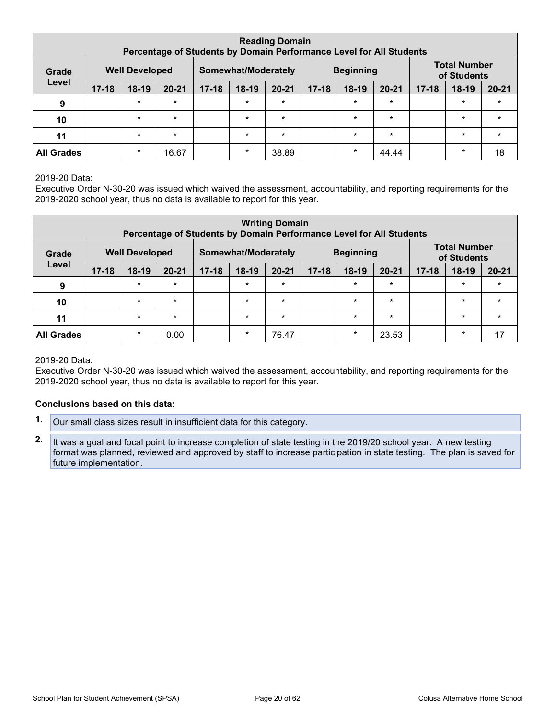|                   |           |                       | Percentage of Students by Domain Performance Level for All Students |           |                     | <b>Reading Domain</b> |           |                  |           |           |                                    |           |
|-------------------|-----------|-----------------------|---------------------------------------------------------------------|-----------|---------------------|-----------------------|-----------|------------------|-----------|-----------|------------------------------------|-----------|
| Grade             |           | <b>Well Developed</b> |                                                                     |           | Somewhat/Moderately |                       |           | <b>Beginning</b> |           |           | <b>Total Number</b><br>of Students |           |
| Level             | $17 - 18$ | $18-19$               | $20 - 21$                                                           | $17 - 18$ | $18-19$             | $20 - 21$             | $17 - 18$ | $18-19$          | $20 - 21$ | $17 - 18$ | $18-19$                            | $20 - 21$ |
| 9                 |           | $\star$               | $\star$                                                             |           | $\star$             | $\star$               |           | $\star$          | $\star$   |           | $\star$                            |           |
| 10                |           | $\star$               | $\star$                                                             |           | $\star$             | $\star$               |           | $\star$          | $\star$   |           | $\star$                            |           |
| 11                |           | $\star$               | $\star$                                                             |           | $\star$             | $\star$               |           | $\star$          | $\star$   |           | $\star$                            | $\star$   |
| <b>All Grades</b> |           | $\ast$                | 16.67                                                               |           | $\star$             | 38.89                 |           | $\star$          | 44.44     |           | $\star$                            | 18        |

#### 2019-20 Data:

Executive Order N-30-20 was issued which waived the assessment, accountability, and reporting requirements for the 2019-2020 school year, thus no data is available to report for this year.

| <b>Writing Domain</b><br>Percentage of Students by Domain Performance Level for All Students |           |         |           |                                                        |         |           |           |         |           |           |         |           |
|----------------------------------------------------------------------------------------------|-----------|---------|-----------|--------------------------------------------------------|---------|-----------|-----------|---------|-----------|-----------|---------|-----------|
| <b>Well Developed</b><br>Somewhat/Moderately<br>Grade                                        |           |         |           | <b>Total Number</b><br><b>Beginning</b><br>of Students |         |           |           |         |           |           |         |           |
| Level                                                                                        | $17 - 18$ | $18-19$ | $20 - 21$ | $17 - 18$                                              | 18-19   | $20 - 21$ | $17 - 18$ | $18-19$ | $20 - 21$ | $17 - 18$ | $18-19$ | $20 - 21$ |
| 9                                                                                            |           | $\star$ | $\star$   |                                                        | $\star$ | $\star$   |           | $\star$ | $\star$   |           | $\star$ | $\star$   |
| 10                                                                                           |           | $\star$ | $\star$   |                                                        | $\star$ | $\star$   |           | $\star$ | $\star$   |           | $\star$ | $\star$   |
| 11                                                                                           |           | $\star$ | $\star$   |                                                        | $\star$ | $\star$   |           | $\star$ | $\star$   |           | $\star$ | $\star$   |
| <b>All Grades</b>                                                                            |           | $\ast$  | 0.00      |                                                        | $\ast$  | 76.47     |           | $\ast$  | 23.53     |           | $\ast$  | 17        |

#### 2019-20 Data:

Executive Order N-30-20 was issued which waived the assessment, accountability, and reporting requirements for the 2019-2020 school year, thus no data is available to report for this year.

#### **Conclusions based on this data:**

- **1.** Our small class sizes result in insufficient data for this category.
- **2.** It was a goal and focal point to increase completion of state testing in the 2019/20 school year. A new testing format was planned, reviewed and approved by staff to increase participation in state testing. The plan is saved for future implementation.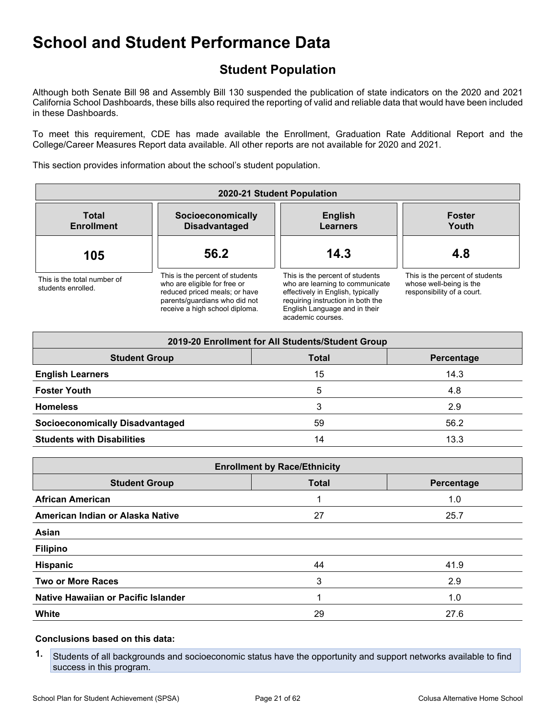### <span id="page-20-0"></span>**Student Population**

Although both Senate Bill 98 and Assembly Bill 130 suspended the publication of state indicators on the 2020 and 2021 California School Dashboards, these bills also required the reporting of valid and reliable data that would have been included in these Dashboards.

To meet this requirement, CDE has made available the Enrollment, Graduation Rate Additional Report and the College/Career Measures Report data available. All other reports are not available for 2020 and 2021.

This section provides information about the school's student population.

| 2020-21 Student Population                        |                                                                                                                                                                     |                                                                                                                                                                                                    |                                                                                          |  |  |  |
|---------------------------------------------------|---------------------------------------------------------------------------------------------------------------------------------------------------------------------|----------------------------------------------------------------------------------------------------------------------------------------------------------------------------------------------------|------------------------------------------------------------------------------------------|--|--|--|
| <b>Total</b><br><b>Enrollment</b>                 | Socioeconomically<br><b>Disadvantaged</b>                                                                                                                           | <b>English</b><br><b>Learners</b>                                                                                                                                                                  | <b>Foster</b><br>Youth                                                                   |  |  |  |
| 105                                               | 56.2                                                                                                                                                                | 14.3                                                                                                                                                                                               | 4.8                                                                                      |  |  |  |
| This is the total number of<br>students enrolled. | This is the percent of students<br>who are eligible for free or<br>reduced priced meals; or have<br>parents/guardians who did not<br>receive a high school diploma. | This is the percent of students<br>who are learning to communicate<br>effectively in English, typically<br>requiring instruction in both the<br>English Language and in their<br>academic courses. | This is the percent of students<br>whose well-being is the<br>responsibility of a court. |  |  |  |

| 2019-20 Enrollment for All Students/Student Group |              |            |  |  |  |  |
|---------------------------------------------------|--------------|------------|--|--|--|--|
| <b>Student Group</b>                              | <b>Total</b> | Percentage |  |  |  |  |
| <b>English Learners</b>                           | 15           | 14.3       |  |  |  |  |
| <b>Foster Youth</b>                               | 5            | 4.8        |  |  |  |  |
| <b>Homeless</b>                                   | 3            | 2.9        |  |  |  |  |
| <b>Socioeconomically Disadvantaged</b>            | 59           | 56.2       |  |  |  |  |
| <b>Students with Disabilities</b>                 | 14           | 13.3       |  |  |  |  |

| <b>Enrollment by Race/Ethnicity</b> |              |            |  |  |  |  |
|-------------------------------------|--------------|------------|--|--|--|--|
| <b>Student Group</b>                | <b>Total</b> | Percentage |  |  |  |  |
| <b>African American</b>             |              | 1.0        |  |  |  |  |
| American Indian or Alaska Native    | 27           | 25.7       |  |  |  |  |
| Asian                               |              |            |  |  |  |  |
| <b>Filipino</b>                     |              |            |  |  |  |  |
| Hispanic                            | 44           | 41.9       |  |  |  |  |
| <b>Two or More Races</b>            | 3            | 2.9        |  |  |  |  |
| Native Hawaiian or Pacific Islander |              | 1.0        |  |  |  |  |
| <b>White</b>                        | 29           | 27.6       |  |  |  |  |

#### **Conclusions based on this data:**

**1.** Students of all backgrounds and socioeconomic status have the opportunity and support networks available to find success in this program.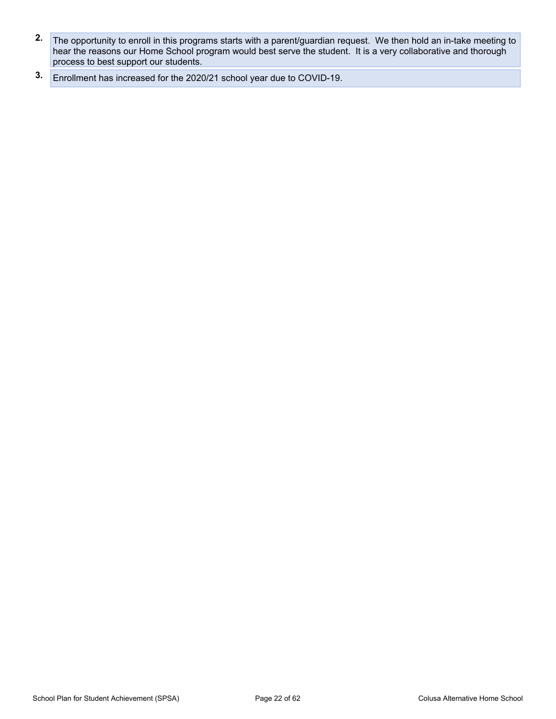- **2.** The opportunity to enroll in this programs starts with a parent/guardian request. We then hold an in-take meeting to hear the reasons our Home School program would best serve the student. It is a very collaborative and thorough process to best support our students.
- **3.** Enrollment has increased for the 2020/21 school year due to COVID-19.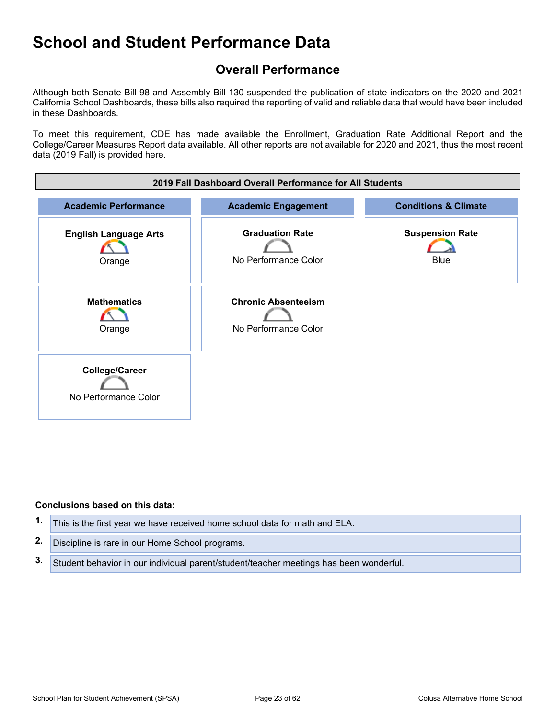### <span id="page-22-0"></span>**Overall Performance**

Although both Senate Bill 98 and Assembly Bill 130 suspended the publication of state indicators on the 2020 and 2021 California School Dashboards, these bills also required the reporting of valid and reliable data that would have been included in these Dashboards.

To meet this requirement, CDE has made available the Enrollment, Graduation Rate Additional Report and the College/Career Measures Report data available. All other reports are not available for 2020 and 2021, thus the most recent data (2019 Fall) is provided here.



#### **Conclusions based on this data:**

**1.** This is the first year we have received home school data for math and ELA. **2.** Discipline is rare in our Home School programs. **3.** Student behavior in our individual parent/student/teacher meetings has been wonderful.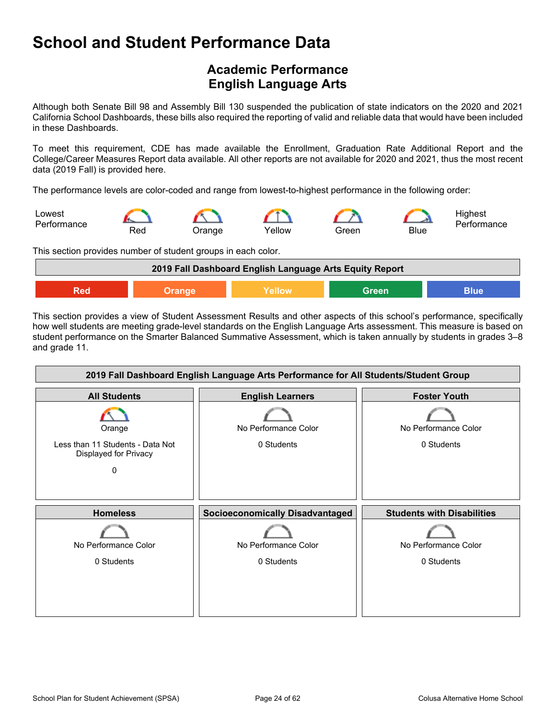### <span id="page-23-0"></span>**Academic Performance English Language Arts**

Although both Senate Bill 98 and Assembly Bill 130 suspended the publication of state indicators on the 2020 and 2021 California School Dashboards, these bills also required the reporting of valid and reliable data that would have been included in these Dashboards.

To meet this requirement, CDE has made available the Enrollment, Graduation Rate Additional Report and the College/Career Measures Report data available. All other reports are not available for 2020 and 2021, thus the most recent data (2019 Fall) is provided here.

The performance levels are color-coded and range from lowest-to-highest performance in the following order:



This section provides number of student groups in each color.

| 2019 Fall Dashboard English Language Arts Equity Report |                                |  |  |  |  |  |  |
|---------------------------------------------------------|--------------------------------|--|--|--|--|--|--|
| Red                                                     | <b>Blue</b><br>Yellow<br>Green |  |  |  |  |  |  |

This section provides a view of Student Assessment Results and other aspects of this school's performance, specifically how well students are meeting grade-level standards on the English Language Arts assessment. This measure is based on student performance on the Smarter Balanced Summative Assessment, which is taken annually by students in grades 3–8 and grade 11.

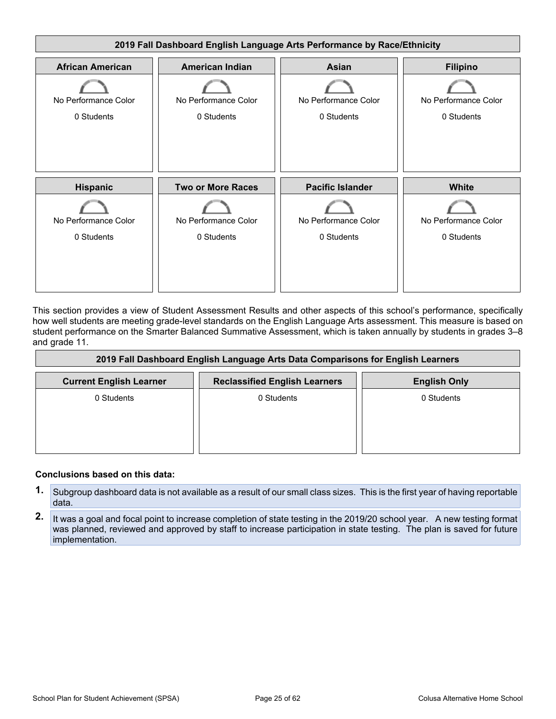

This section provides a view of Student Assessment Results and other aspects of this school's performance, specifically how well students are meeting grade-level standards on the English Language Arts assessment. This measure is based on student performance on the Smarter Balanced Summative Assessment, which is taken annually by students in grades 3–8 and grade 11.

| 2019 Fall Dashboard English Language Arts Data Comparisons for English Learners               |            |            |  |  |  |  |  |
|-----------------------------------------------------------------------------------------------|------------|------------|--|--|--|--|--|
| <b>Current English Learner</b><br><b>Reclassified English Learners</b><br><b>English Only</b> |            |            |  |  |  |  |  |
| 0 Students                                                                                    | 0 Students | 0 Students |  |  |  |  |  |
|                                                                                               |            |            |  |  |  |  |  |

#### **Conclusions based on this data:**

- **1.** Subgroup dashboard data is not available as a result of our small class sizes. This is the first year of having reportable data.
- **2.** It was a goal and focal point to increase completion of state testing in the 2019/20 school year. A new testing format was planned, reviewed and approved by staff to increase participation in state testing. The plan is saved for future implementation.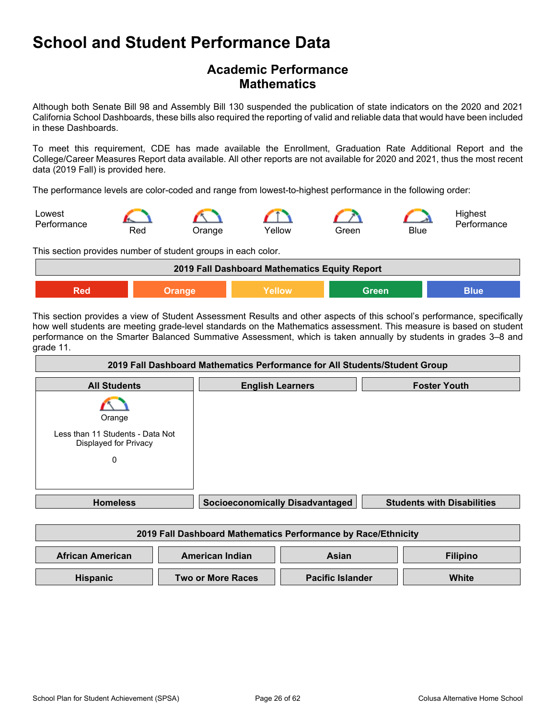### **Academic Performance Mathematics**

Although both Senate Bill 98 and Assembly Bill 130 suspended the publication of state indicators on the 2020 and 2021 California School Dashboards, these bills also required the reporting of valid and reliable data that would have been included in these Dashboards.

To meet this requirement, CDE has made available the Enrollment, Graduation Rate Additional Report and the College/Career Measures Report data available. All other reports are not available for 2020 and 2021, thus the most recent data (2019 Fall) is provided here.

The performance levels are color-coded and range from lowest-to-highest performance in the following order:



This section provides number of student groups in each color.

| 2019 Fall Dashboard Mathematics Equity Report |  |        |       |      |  |  |
|-----------------------------------------------|--|--------|-------|------|--|--|
|                                               |  | Yellow | Green | BINA |  |  |

This section provides a view of Student Assessment Results and other aspects of this school's performance, specifically how well students are meeting grade-level standards on the Mathematics assessment. This measure is based on student performance on the Smarter Balanced Summative Assessment, which is taken annually by students in grades 3–8 and grade 11.

| 2019 Fall Dashboard Mathematics Performance for All Students/Student Group |  |                                                               |                         |                     |                                   |  |
|----------------------------------------------------------------------------|--|---------------------------------------------------------------|-------------------------|---------------------|-----------------------------------|--|
| <b>All Students</b>                                                        |  | <b>English Learners</b>                                       |                         | <b>Foster Youth</b> |                                   |  |
| Orange                                                                     |  |                                                               |                         |                     |                                   |  |
| Less than 11 Students - Data Not<br>Displayed for Privacy                  |  |                                                               |                         |                     |                                   |  |
| 0                                                                          |  |                                                               |                         |                     |                                   |  |
|                                                                            |  |                                                               |                         |                     |                                   |  |
| <b>Homeless</b>                                                            |  | <b>Socioeconomically Disadvantaged</b>                        |                         |                     | <b>Students with Disabilities</b> |  |
|                                                                            |  |                                                               |                         |                     |                                   |  |
|                                                                            |  | 2019 Fall Dashboard Mathematics Performance by Race/Ethnicity |                         |                     |                                   |  |
| <b>African American</b>                                                    |  | <b>American Indian</b><br>Asian                               |                         |                     | <b>Filipino</b>                   |  |
| <b>Hispanic</b>                                                            |  | <b>Two or More Races</b>                                      | <b>Pacific Islander</b> |                     | White                             |  |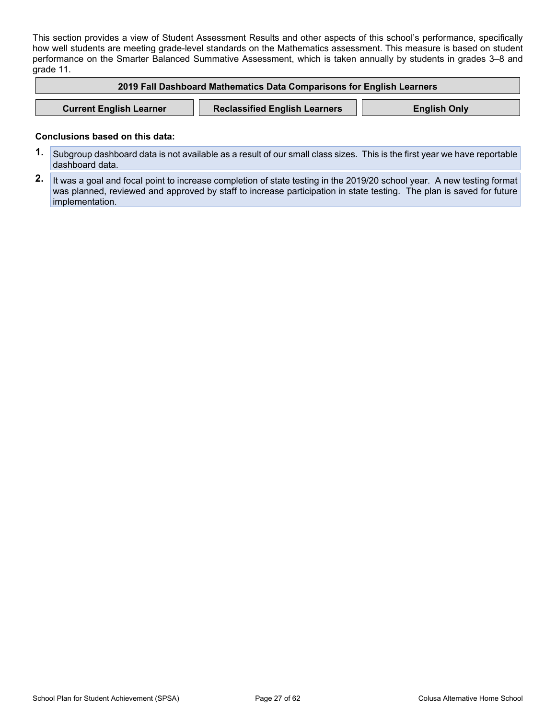This section provides a view of Student Assessment Results and other aspects of this school's performance, specifically how well students are meeting grade-level standards on the Mathematics assessment. This measure is based on student performance on the Smarter Balanced Summative Assessment, which is taken annually by students in grades 3–8 and grade 11.

| 2019 Fall Dashboard Mathematics Data Comparisons for English Learners |                                      |                     |  |  |  |  |
|-----------------------------------------------------------------------|--------------------------------------|---------------------|--|--|--|--|
| <b>Current English Learner</b>                                        | <b>Reclassified English Learners</b> | <b>English Only</b> |  |  |  |  |

#### **Conclusions based on this data:**

- **1.** Subgroup dashboard data is not available as a result of our small class sizes. This is the first year we have reportable dashboard data.
- **2.** It was a goal and focal point to increase completion of state testing in the 2019/20 school year. A new testing format was planned, reviewed and approved by staff to increase participation in state testing. The plan is saved for future implementation.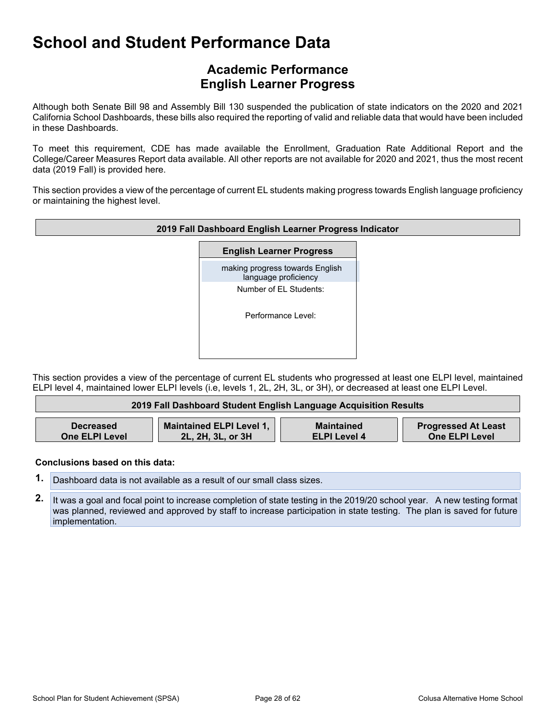### **Academic Performance English Learner Progress**

Although both Senate Bill 98 and Assembly Bill 130 suspended the publication of state indicators on the 2020 and 2021 California School Dashboards, these bills also required the reporting of valid and reliable data that would have been included in these Dashboards.

To meet this requirement, CDE has made available the Enrollment, Graduation Rate Additional Report and the College/Career Measures Report data available. All other reports are not available for 2020 and 2021, thus the most recent data (2019 Fall) is provided here.

This section provides a view of the percentage of current EL students making progress towards English language proficiency or maintaining the highest level.

| 2019 Fall Dashboard English Learner Progress Indicator |                                                         |  |  |
|--------------------------------------------------------|---------------------------------------------------------|--|--|
|                                                        | <b>English Learner Progress</b>                         |  |  |
|                                                        | making progress towards English<br>language proficiency |  |  |
|                                                        | Number of EL Students:                                  |  |  |
|                                                        | Performance Level:                                      |  |  |
|                                                        |                                                         |  |  |
|                                                        |                                                         |  |  |

This section provides a view of the percentage of current EL students who progressed at least one ELPI level, maintained ELPI level 4, maintained lower ELPI levels (i.e, levels 1, 2L, 2H, 3L, or 3H), or decreased at least one ELPI Level.

| 2019 Fall Dashboard Student English Language Acquisition Results                                                                                                                                     |  |  |  |  |  |  |  |
|------------------------------------------------------------------------------------------------------------------------------------------------------------------------------------------------------|--|--|--|--|--|--|--|
| <b>Maintained ELPI Level 1,</b><br><b>Progressed At Least</b><br><b>Maintained</b><br><b>Decreased</b><br><b>One ELPI Level</b><br><b>One ELPI Level</b><br>2L, 2H, 3L, or 3H<br><b>ELPI Level 4</b> |  |  |  |  |  |  |  |

#### **Conclusions based on this data:**

- **1.** Dashboard data is not available as a result of our small class sizes.
- **2.** It was a goal and focal point to increase completion of state testing in the 2019/20 school year. A new testing format was planned, reviewed and approved by staff to increase participation in state testing. The plan is saved for future implementation.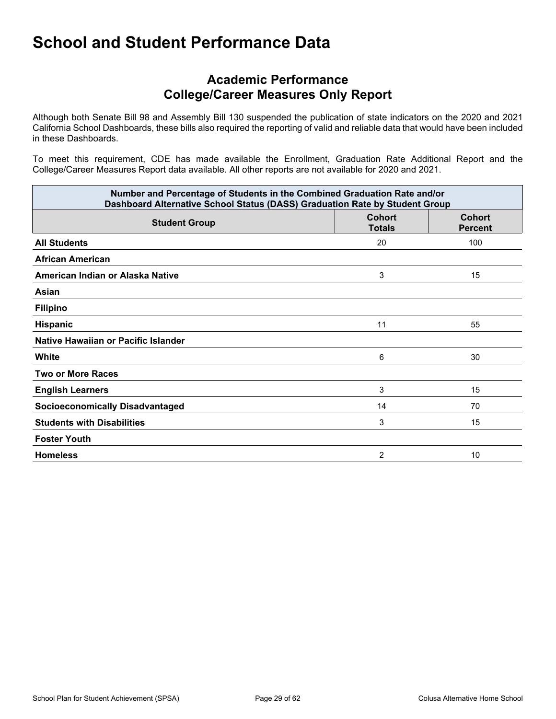### **Academic Performance College/Career Measures Only Report**

Although both Senate Bill 98 and Assembly Bill 130 suspended the publication of state indicators on the 2020 and 2021 California School Dashboards, these bills also required the reporting of valid and reliable data that would have been included in these Dashboards.

To meet this requirement, CDE has made available the Enrollment, Graduation Rate Additional Report and the College/Career Measures Report data available. All other reports are not available for 2020 and 2021.

| Number and Percentage of Students in the Combined Graduation Rate and/or<br>Dashboard Alternative School Status (DASS) Graduation Rate by Student Group |                                |                                 |  |  |  |  |
|---------------------------------------------------------------------------------------------------------------------------------------------------------|--------------------------------|---------------------------------|--|--|--|--|
| <b>Student Group</b>                                                                                                                                    | <b>Cohort</b><br><b>Totals</b> | <b>Cohort</b><br><b>Percent</b> |  |  |  |  |
| <b>All Students</b>                                                                                                                                     | 20                             | 100                             |  |  |  |  |
| <b>African American</b>                                                                                                                                 |                                |                                 |  |  |  |  |
| American Indian or Alaska Native                                                                                                                        | 3                              | 15                              |  |  |  |  |
| Asian                                                                                                                                                   |                                |                                 |  |  |  |  |
| <b>Filipino</b>                                                                                                                                         |                                |                                 |  |  |  |  |
| Hispanic                                                                                                                                                | 11                             | 55                              |  |  |  |  |
| Native Hawaiian or Pacific Islander                                                                                                                     |                                |                                 |  |  |  |  |
| White                                                                                                                                                   | 6                              | 30                              |  |  |  |  |
| <b>Two or More Races</b>                                                                                                                                |                                |                                 |  |  |  |  |
| <b>English Learners</b>                                                                                                                                 | 3                              | 15                              |  |  |  |  |
| <b>Socioeconomically Disadvantaged</b>                                                                                                                  | 14                             | 70                              |  |  |  |  |
| <b>Students with Disabilities</b>                                                                                                                       | 3                              | 15                              |  |  |  |  |
| <b>Foster Youth</b>                                                                                                                                     |                                |                                 |  |  |  |  |
| <b>Homeless</b>                                                                                                                                         | $\overline{2}$                 | 10                              |  |  |  |  |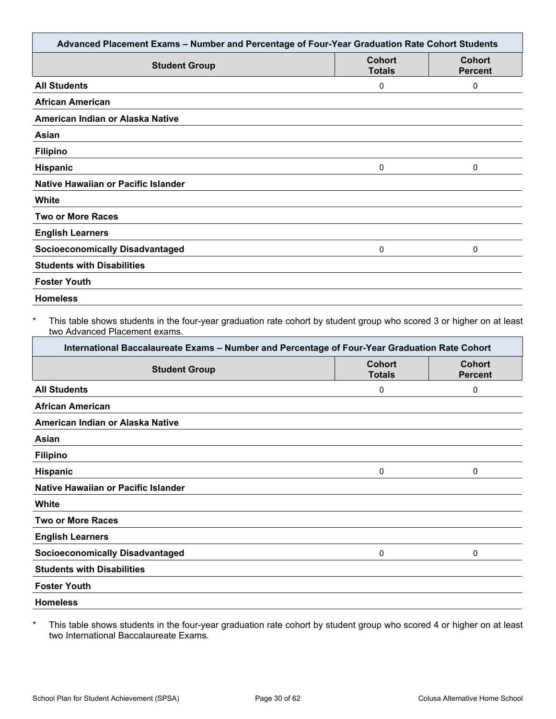| <b>Student Group</b>                   | <b>Cohort</b> | <b>Cohort</b>  |
|----------------------------------------|---------------|----------------|
|                                        | <b>Totals</b> | <b>Percent</b> |
| <b>All Students</b>                    | 0             | 0              |
| <b>African American</b>                |               |                |
| American Indian or Alaska Native       |               |                |
| Asian                                  |               |                |
| <b>Filipino</b>                        |               |                |
| <b>Hispanic</b>                        | 0             | 0              |
| Native Hawaiian or Pacific Islander    |               |                |
| White                                  |               |                |
| <b>Two or More Races</b>               |               |                |
| <b>English Learners</b>                |               |                |
| <b>Socioeconomically Disadvantaged</b> | 0             | 0              |
| <b>Students with Disabilities</b>      |               |                |
| <b>Foster Youth</b>                    |               |                |

This table shows students in the four-year graduation rate cohort by student group who scored 3 or higher on at least two Advanced Placement exams.

| International Baccalaureate Exams - Number and Percentage of Four-Year Graduation Rate Cohort |                                |                                 |
|-----------------------------------------------------------------------------------------------|--------------------------------|---------------------------------|
| <b>Student Group</b>                                                                          | <b>Cohort</b><br><b>Totals</b> | <b>Cohort</b><br><b>Percent</b> |
| <b>All Students</b>                                                                           | 0                              | 0                               |
| <b>African American</b>                                                                       |                                |                                 |
| American Indian or Alaska Native                                                              |                                |                                 |
| Asian                                                                                         |                                |                                 |
| <b>Filipino</b>                                                                               |                                |                                 |
| Hispanic                                                                                      | 0                              | 0                               |
| Native Hawaiian or Pacific Islander                                                           |                                |                                 |
| White                                                                                         |                                |                                 |
| <b>Two or More Races</b>                                                                      |                                |                                 |
| <b>English Learners</b>                                                                       |                                |                                 |
| <b>Socioeconomically Disadvantaged</b>                                                        | 0                              | $\Omega$                        |
| <b>Students with Disabilities</b>                                                             |                                |                                 |
| <b>Foster Youth</b>                                                                           |                                |                                 |
| <b>Homeless</b>                                                                               |                                |                                 |

\* This table shows students in the four-year graduation rate cohort by student group who scored 4 or higher on at least two International Baccalaureate Exams.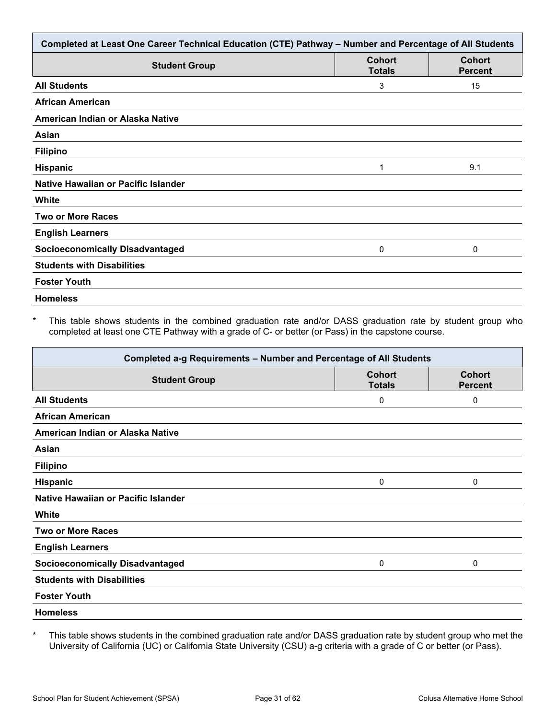| Completed at Least One Career Technical Education (CTE) Pathway - Number and Percentage of All Students |                                |                                 |  |
|---------------------------------------------------------------------------------------------------------|--------------------------------|---------------------------------|--|
| <b>Student Group</b>                                                                                    | <b>Cohort</b><br><b>Totals</b> | <b>Cohort</b><br><b>Percent</b> |  |
| <b>All Students</b>                                                                                     | 3                              | 15                              |  |
| <b>African American</b>                                                                                 |                                |                                 |  |
| American Indian or Alaska Native                                                                        |                                |                                 |  |
| Asian                                                                                                   |                                |                                 |  |
| <b>Filipino</b>                                                                                         |                                |                                 |  |
| <b>Hispanic</b>                                                                                         | 1                              | 9.1                             |  |
| Native Hawaiian or Pacific Islander                                                                     |                                |                                 |  |
| <b>White</b>                                                                                            |                                |                                 |  |
| <b>Two or More Races</b>                                                                                |                                |                                 |  |
| <b>English Learners</b>                                                                                 |                                |                                 |  |
| <b>Socioeconomically Disadvantaged</b>                                                                  | 0                              | 0                               |  |
| <b>Students with Disabilities</b>                                                                       |                                |                                 |  |
| <b>Foster Youth</b>                                                                                     |                                |                                 |  |
| <b>Homeless</b>                                                                                         |                                |                                 |  |

This table shows students in the combined graduation rate and/or DASS graduation rate by student group who completed at least one CTE Pathway with a grade of C- or better (or Pass) in the capstone course.

| Completed a-g Requirements - Number and Percentage of All Students |                                |                                 |  |
|--------------------------------------------------------------------|--------------------------------|---------------------------------|--|
| <b>Student Group</b>                                               | <b>Cohort</b><br><b>Totals</b> | <b>Cohort</b><br><b>Percent</b> |  |
| <b>All Students</b>                                                | 0                              | 0                               |  |
| <b>African American</b>                                            |                                |                                 |  |
| American Indian or Alaska Native                                   |                                |                                 |  |
| Asian                                                              |                                |                                 |  |
| <b>Filipino</b>                                                    |                                |                                 |  |
| <b>Hispanic</b>                                                    | 0                              | 0                               |  |
| Native Hawaiian or Pacific Islander                                |                                |                                 |  |
| White                                                              |                                |                                 |  |
| <b>Two or More Races</b>                                           |                                |                                 |  |
| <b>English Learners</b>                                            |                                |                                 |  |
| <b>Socioeconomically Disadvantaged</b>                             | 0                              | $\Omega$                        |  |
| <b>Students with Disabilities</b>                                  |                                |                                 |  |
| <b>Foster Youth</b>                                                |                                |                                 |  |
| <b>Homeless</b>                                                    |                                |                                 |  |

\* This table shows students in the combined graduation rate and/or DASS graduation rate by student group who met the University of California (UC) or California State University (CSU) a-g criteria with a grade of C or better (or Pass).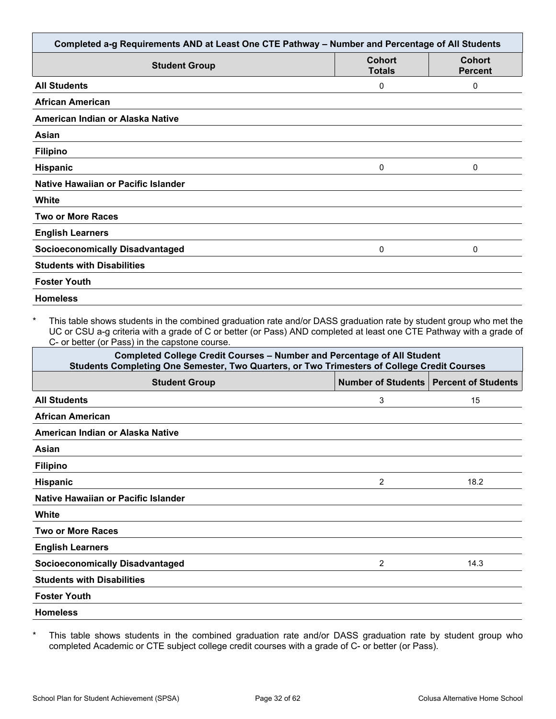| Completed a-g Requirements AND at Least One CTE Pathway - Number and Percentage of All Students |                                |                                 |  |
|-------------------------------------------------------------------------------------------------|--------------------------------|---------------------------------|--|
| <b>Student Group</b>                                                                            | <b>Cohort</b><br><b>Totals</b> | <b>Cohort</b><br><b>Percent</b> |  |
| <b>All Students</b>                                                                             | 0                              | 0                               |  |
| <b>African American</b>                                                                         |                                |                                 |  |
| American Indian or Alaska Native                                                                |                                |                                 |  |
| Asian                                                                                           |                                |                                 |  |
| <b>Filipino</b>                                                                                 |                                |                                 |  |
| <b>Hispanic</b>                                                                                 | 0                              | $\mathbf{0}$                    |  |
| Native Hawaiian or Pacific Islander                                                             |                                |                                 |  |
| <b>White</b>                                                                                    |                                |                                 |  |
| <b>Two or More Races</b>                                                                        |                                |                                 |  |
| <b>English Learners</b>                                                                         |                                |                                 |  |
| <b>Socioeconomically Disadvantaged</b>                                                          | 0                              | 0                               |  |
| <b>Students with Disabilities</b>                                                               |                                |                                 |  |
| <b>Foster Youth</b>                                                                             |                                |                                 |  |
| <b>Homeless</b>                                                                                 |                                |                                 |  |

This table shows students in the combined graduation rate and/or DASS graduation rate by student group who met the UC or CSU a-g criteria with a grade of C or better (or Pass) AND completed at least one CTE Pathway with a grade of C- or better (or Pass) in the capstone course.

| <b>Completed College Credit Courses - Number and Percentage of All Student</b><br>Students Completing One Semester, Two Quarters, or Two Trimesters of College Credit Courses |                |                                          |  |
|-------------------------------------------------------------------------------------------------------------------------------------------------------------------------------|----------------|------------------------------------------|--|
| <b>Student Group</b>                                                                                                                                                          |                | Number of Students   Percent of Students |  |
| <b>All Students</b>                                                                                                                                                           | 3              | 15                                       |  |
| <b>African American</b>                                                                                                                                                       |                |                                          |  |
| American Indian or Alaska Native                                                                                                                                              |                |                                          |  |
| Asian                                                                                                                                                                         |                |                                          |  |
| <b>Filipino</b>                                                                                                                                                               |                |                                          |  |
| <b>Hispanic</b>                                                                                                                                                               | $\overline{2}$ | 18.2                                     |  |
| Native Hawaiian or Pacific Islander                                                                                                                                           |                |                                          |  |
| White                                                                                                                                                                         |                |                                          |  |
| <b>Two or More Races</b>                                                                                                                                                      |                |                                          |  |
| <b>English Learners</b>                                                                                                                                                       |                |                                          |  |
| <b>Socioeconomically Disadvantaged</b>                                                                                                                                        | $\overline{2}$ | 14.3                                     |  |
| <b>Students with Disabilities</b>                                                                                                                                             |                |                                          |  |
| <b>Foster Youth</b>                                                                                                                                                           |                |                                          |  |
| <b>Homeless</b>                                                                                                                                                               |                |                                          |  |

\* This table shows students in the combined graduation rate and/or DASS graduation rate by student group who completed Academic or CTE subject college credit courses with a grade of C- or better (or Pass).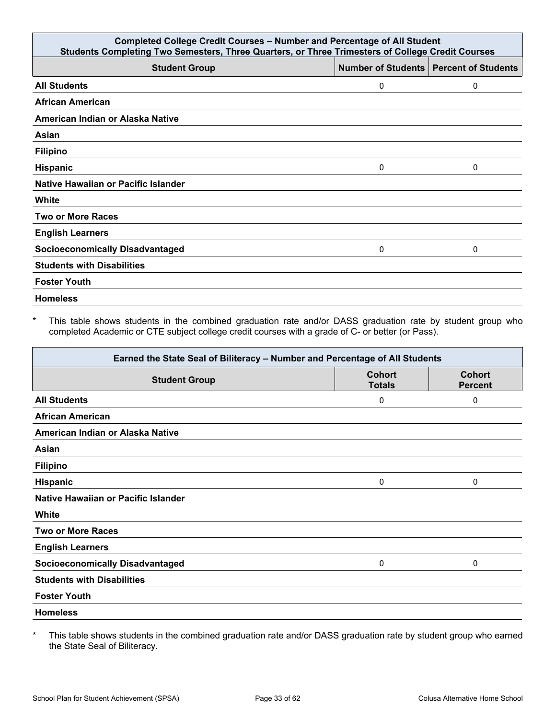| <b>Completed College Credit Courses - Number and Percentage of All Student</b><br>Students Completing Two Semesters, Three Quarters, or Three Trimesters of College Credit Courses |   |                                          |  |
|------------------------------------------------------------------------------------------------------------------------------------------------------------------------------------|---|------------------------------------------|--|
| <b>Student Group</b>                                                                                                                                                               |   | Number of Students   Percent of Students |  |
| <b>All Students</b>                                                                                                                                                                | 0 | 0                                        |  |
| <b>African American</b>                                                                                                                                                            |   |                                          |  |
| American Indian or Alaska Native                                                                                                                                                   |   |                                          |  |
| Asian                                                                                                                                                                              |   |                                          |  |
| <b>Filipino</b>                                                                                                                                                                    |   |                                          |  |
| <b>Hispanic</b>                                                                                                                                                                    | 0 | 0                                        |  |
| Native Hawaiian or Pacific Islander                                                                                                                                                |   |                                          |  |
| White                                                                                                                                                                              |   |                                          |  |
| <b>Two or More Races</b>                                                                                                                                                           |   |                                          |  |
| <b>English Learners</b>                                                                                                                                                            |   |                                          |  |
| <b>Socioeconomically Disadvantaged</b>                                                                                                                                             | 0 | 0                                        |  |
| <b>Students with Disabilities</b>                                                                                                                                                  |   |                                          |  |
| <b>Foster Youth</b>                                                                                                                                                                |   |                                          |  |
| <b>Homeless</b>                                                                                                                                                                    |   |                                          |  |

\* This table shows students in the combined graduation rate and/or DASS graduation rate by student group who completed Academic or CTE subject college credit courses with a grade of C- or better (or Pass).

| Earned the State Seal of Biliteracy - Number and Percentage of All Students |                                |                                 |  |
|-----------------------------------------------------------------------------|--------------------------------|---------------------------------|--|
| <b>Student Group</b>                                                        | <b>Cohort</b><br><b>Totals</b> | <b>Cohort</b><br><b>Percent</b> |  |
| <b>All Students</b>                                                         | 0                              | 0                               |  |
| <b>African American</b>                                                     |                                |                                 |  |
| American Indian or Alaska Native                                            |                                |                                 |  |
| Asian                                                                       |                                |                                 |  |
| <b>Filipino</b>                                                             |                                |                                 |  |
| <b>Hispanic</b>                                                             | 0                              | 0                               |  |
| Native Hawaiian or Pacific Islander                                         |                                |                                 |  |
| White                                                                       |                                |                                 |  |
| <b>Two or More Races</b>                                                    |                                |                                 |  |
| <b>English Learners</b>                                                     |                                |                                 |  |
| <b>Socioeconomically Disadvantaged</b>                                      | 0                              | $\Omega$                        |  |
| <b>Students with Disabilities</b>                                           |                                |                                 |  |
| <b>Foster Youth</b>                                                         |                                |                                 |  |
| <b>Homeless</b>                                                             |                                |                                 |  |

\* This table shows students in the combined graduation rate and/or DASS graduation rate by student group who earned the State Seal of Biliteracy.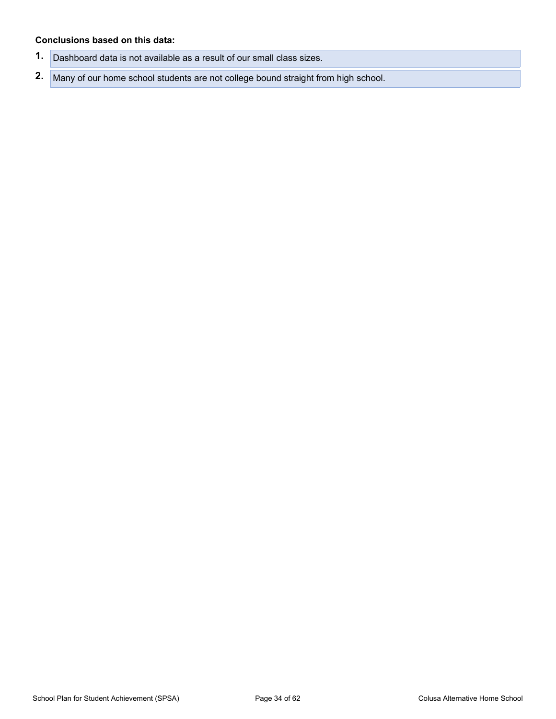#### **Conclusions based on this data:**

- **1.** Dashboard data is not available as a result of our small class sizes.
- **2.** Many of our home school students are not college bound straight from high school.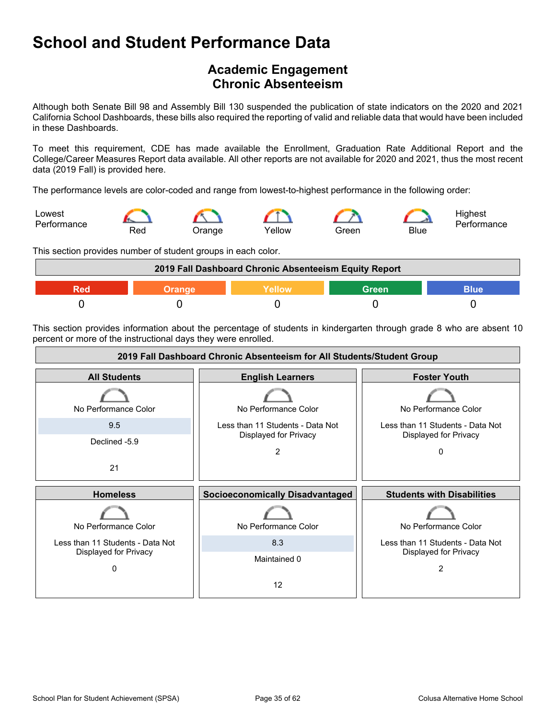### <span id="page-34-0"></span>**Academic Engagement Chronic Absenteeism**

Although both Senate Bill 98 and Assembly Bill 130 suspended the publication of state indicators on the 2020 and 2021 California School Dashboards, these bills also required the reporting of valid and reliable data that would have been included in these Dashboards.

To meet this requirement, CDE has made available the Enrollment, Graduation Rate Additional Report and the College/Career Measures Report data available. All other reports are not available for 2020 and 2021, thus the most recent data (2019 Fall) is provided here.

The performance levels are color-coded and range from lowest-to-highest performance in the following order:



This section provides number of student groups in each color.



This section provides information about the percentage of students in kindergarten through grade 8 who are absent 10 percent or more of the instructional days they were enrolled.

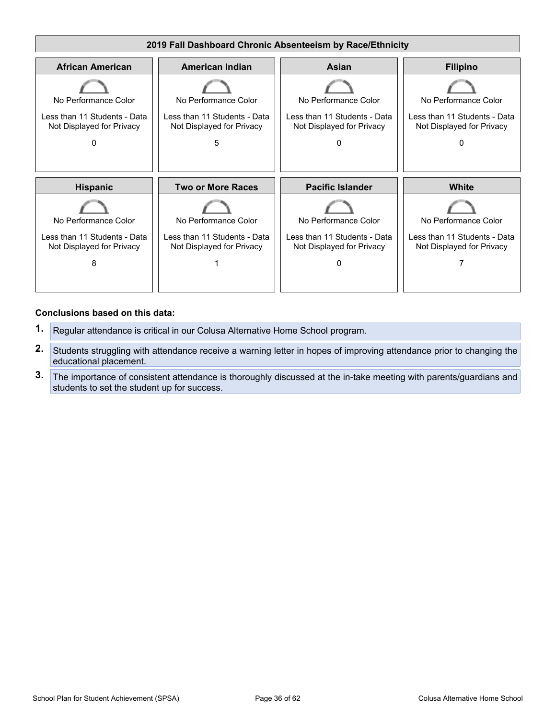

#### **Conclusions based on this data:**

- **1.** Regular attendance is critical in our Colusa Alternative Home School program.
- **2.** Students struggling with attendance receive a warning letter in hopes of improving attendance prior to changing the educational placement.
- **3.** The importance of consistent attendance is thoroughly discussed at the in-take meeting with parents/guardians and students to set the student up for success.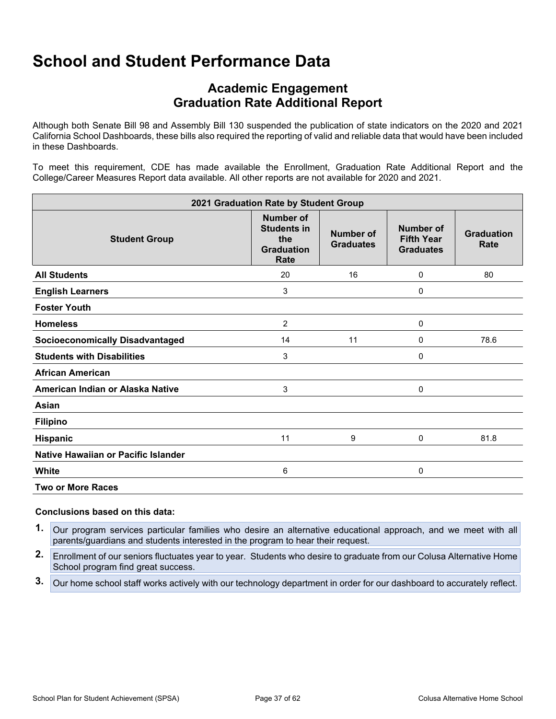### **Academic Engagement Graduation Rate Additional Report**

Although both Senate Bill 98 and Assembly Bill 130 suspended the publication of state indicators on the 2020 and 2021 California School Dashboards, these bills also required the reporting of valid and reliable data that would have been included in these Dashboards.

To meet this requirement, CDE has made available the Enrollment, Graduation Rate Additional Report and the College/Career Measures Report data available. All other reports are not available for 2020 and 2021.

| 2021 Graduation Rate by Student Group  |                                                                            |                                      |                                                    |                           |
|----------------------------------------|----------------------------------------------------------------------------|--------------------------------------|----------------------------------------------------|---------------------------|
| <b>Student Group</b>                   | <b>Number of</b><br><b>Students in</b><br>the<br><b>Graduation</b><br>Rate | <b>Number of</b><br><b>Graduates</b> | Number of<br><b>Fifth Year</b><br><b>Graduates</b> | <b>Graduation</b><br>Rate |
| <b>All Students</b>                    | 20                                                                         | 16                                   | 0                                                  | 80                        |
| <b>English Learners</b>                | 3                                                                          |                                      | 0                                                  |                           |
| <b>Foster Youth</b>                    |                                                                            |                                      |                                                    |                           |
| <b>Homeless</b>                        | $\overline{2}$                                                             |                                      | 0                                                  |                           |
| <b>Socioeconomically Disadvantaged</b> | 14                                                                         | 11                                   | 0                                                  | 78.6                      |
| <b>Students with Disabilities</b>      | 3                                                                          |                                      | 0                                                  |                           |
| <b>African American</b>                |                                                                            |                                      |                                                    |                           |
| American Indian or Alaska Native       | 3                                                                          |                                      | 0                                                  |                           |
| Asian                                  |                                                                            |                                      |                                                    |                           |
| <b>Filipino</b>                        |                                                                            |                                      |                                                    |                           |
| <b>Hispanic</b>                        | 11                                                                         | 9                                    | 0                                                  | 81.8                      |
| Native Hawaiian or Pacific Islander    |                                                                            |                                      |                                                    |                           |
| White                                  | 6                                                                          |                                      | 0                                                  |                           |
| <b>Two or More Races</b>               |                                                                            |                                      |                                                    |                           |

#### **Conclusions based on this data:**

- **1.** Our program services particular families who desire an alternative educational approach, and we meet with all parents/guardians and students interested in the program to hear their request.
- **2.** Enrollment of our seniors fluctuates year to year. Students who desire to graduate from our Colusa Alternative Home School program find great success.
- **3.** Our home school staff works actively with our technology department in order for our dashboard to accurately reflect.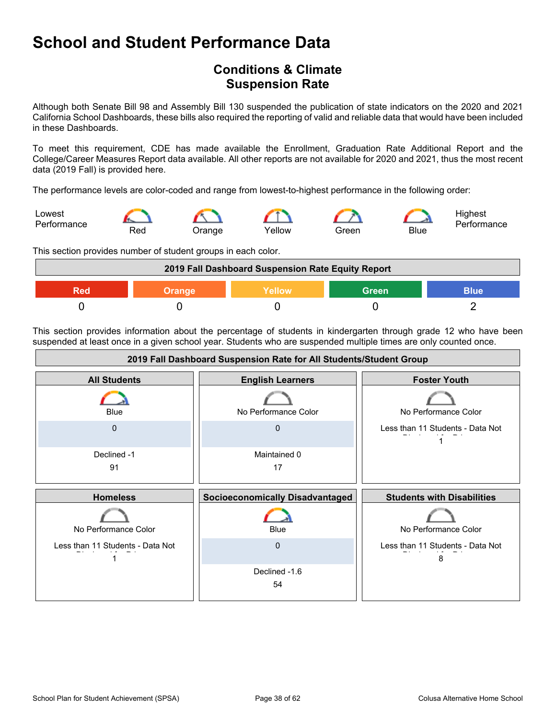### <span id="page-37-0"></span>**Conditions & Climate Suspension Rate**

Although both Senate Bill 98 and Assembly Bill 130 suspended the publication of state indicators on the 2020 and 2021 California School Dashboards, these bills also required the reporting of valid and reliable data that would have been included in these Dashboards.

To meet this requirement, CDE has made available the Enrollment, Graduation Rate Additional Report and the College/Career Measures Report data available. All other reports are not available for 2020 and 2021, thus the most recent data (2019 Fall) is provided here.

The performance levels are color-coded and range from lowest-to-highest performance in the following order:



This section provides number of student groups in each color.



This section provides information about the percentage of students in kindergarten through grade 12 who have been suspended at least once in a given school year. Students who are suspended multiple times are only counted once.

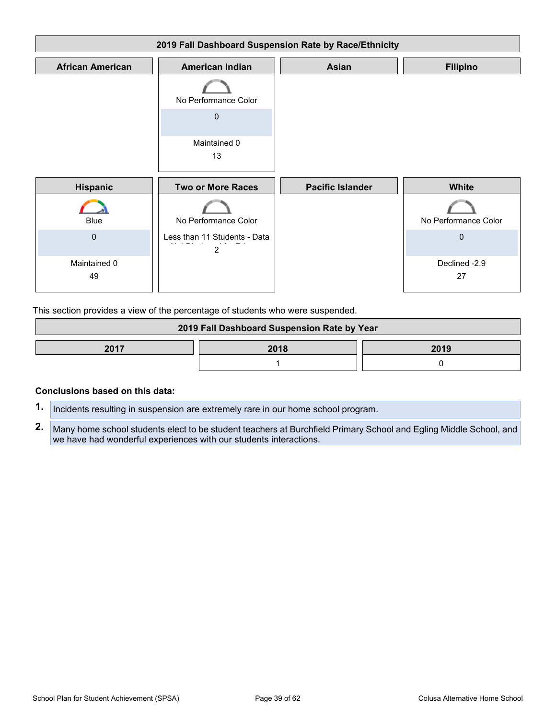| 2019 Fall Dashboard Suspension Rate by Race/Ethnicity |                                                |                         |                      |
|-------------------------------------------------------|------------------------------------------------|-------------------------|----------------------|
| <b>African American</b>                               | <b>American Indian</b>                         | Asian                   | <b>Filipino</b>      |
|                                                       | No Performance Color                           |                         |                      |
|                                                       | 0                                              |                         |                      |
|                                                       | Maintained 0<br>13                             |                         |                      |
| Hispanic                                              | <b>Two or More Races</b>                       | <b>Pacific Islander</b> | White                |
| <b>Blue</b>                                           | No Performance Color                           |                         | No Performance Color |
| $\mathbf 0$                                           | Less than 11 Students - Data<br>$\overline{2}$ |                         | $\mathbf{0}$         |
| Maintained 0<br>49                                    |                                                |                         | Declined -2.9<br>27  |

This section provides a view of the percentage of students who were suspended.

| 2019 Fall Dashboard Suspension Rate by Year |  |  |  |
|---------------------------------------------|--|--|--|
| 2017<br>2018<br>2019                        |  |  |  |
|                                             |  |  |  |

#### **Conclusions based on this data:**

- **1.** Incidents resulting in suspension are extremely rare in our home school program.
- **2.** Many home school students elect to be student teachers at Burchfield Primary School and Egling Middle School, and we have had wonderful experiences with our students interactions.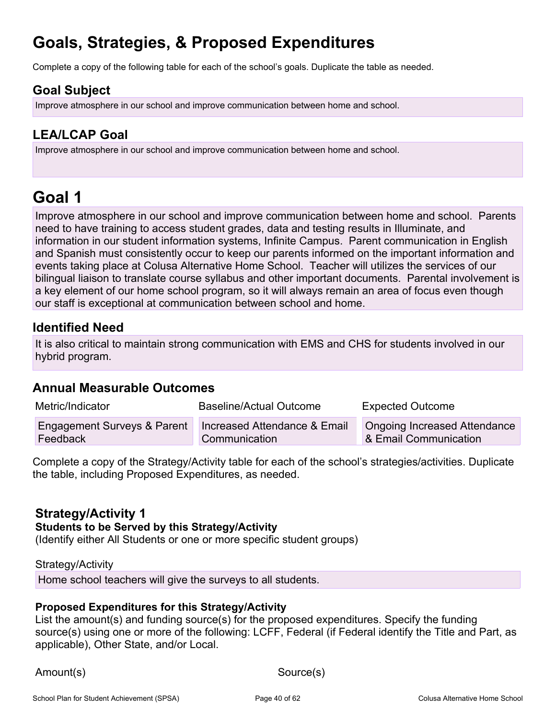## <span id="page-39-0"></span>**Goals, Strategies, & Proposed Expenditures**

Complete a copy of the following table for each of the school's goals. Duplicate the table as needed.

### **Goal Subject**

Improve atmosphere in our school and improve communication between home and school.

### **LEA/LCAP Goal**

Improve atmosphere in our school and improve communication between home and school.

## <span id="page-39-1"></span>**Goal 1**

Improve atmosphere in our school and improve communication between home and school. Parents need to have training to access student grades, data and testing results in Illuminate, and information in our student information systems, Infinite Campus. Parent communication in English and Spanish must consistently occur to keep our parents informed on the important information and events taking place at Colusa Alternative Home School. Teacher will utilizes the services of our bilingual liaison to translate course syllabus and other important documents. Parental involvement is a key element of our home school program, so it will always remain an area of focus even though our staff is exceptional at communication between school and home.

### **Identified Need**

It is also critical to maintain strong communication with EMS and CHS for students involved in our hybrid program.

### **Annual Measurable Outcomes**

| Metric/Indicator            | Baseline/Actual Outcome      | <b>Expected Outcome</b>      |
|-----------------------------|------------------------------|------------------------------|
| Engagement Surveys & Parent | Increased Attendance & Email | Ongoing Increased Attendance |
| Feedback                    | Communication                | & Email Communication        |

Complete a copy of the Strategy/Activity table for each of the school's strategies/activities. Duplicate the table, including Proposed Expenditures, as needed.

### **Strategy/Activity 1**

#### **Students to be Served by this Strategy/Activity**

(Identify either All Students or one or more specific student groups)

#### Strategy/Activity

Home school teachers will give the surveys to all students.

#### **Proposed Expenditures for this Strategy/Activity**

List the amount(s) and funding source(s) for the proposed expenditures. Specify the funding source(s) using one or more of the following: LCFF, Federal (if Federal identify the Title and Part, as applicable), Other State, and/or Local.

Amount(s) Source(s)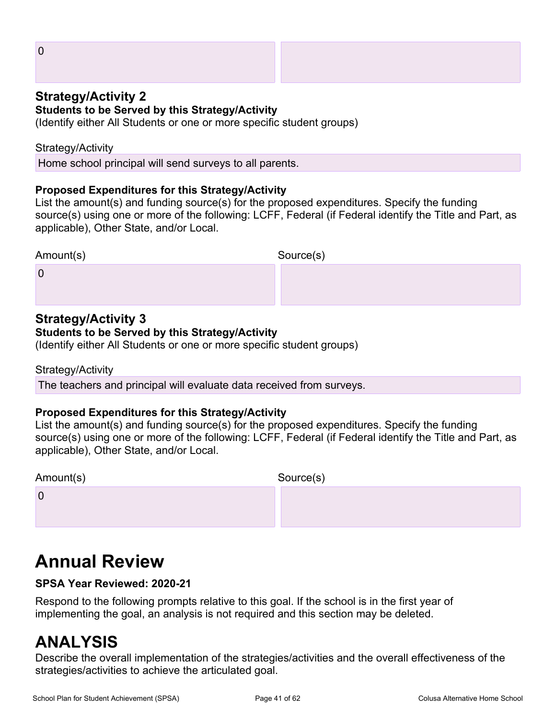### **Strategy/Activity 2**

#### **Students to be Served by this Strategy/Activity**

(Identify either All Students or one or more specific student groups)

#### Strategy/Activity

0

Home school principal will send surveys to all parents.

#### **Proposed Expenditures for this Strategy/Activity**

List the amount(s) and funding source(s) for the proposed expenditures. Specify the funding source(s) using one or more of the following: LCFF, Federal (if Federal identify the Title and Part, as applicable), Other State, and/or Local.

| Amount(s)   | Source(s) |
|-------------|-----------|
| $\mathbf 0$ |           |
|             |           |

### **Strategy/Activity 3**

#### **Students to be Served by this Strategy/Activity**

(Identify either All Students or one or more specific student groups)

Strategy/Activity

The teachers and principal will evaluate data received from surveys.

#### **Proposed Expenditures for this Strategy/Activity**

List the amount(s) and funding source(s) for the proposed expenditures. Specify the funding source(s) using one or more of the following: LCFF, Federal (if Federal identify the Title and Part, as applicable), Other State, and/or Local.

| Amount(s) | Source(s) |
|-----------|-----------|
| 0         |           |
|           |           |

## **Annual Review**

### **SPSA Year Reviewed: 2020-21**

Respond to the following prompts relative to this goal. If the school is in the first year of implementing the goal, an analysis is not required and this section may be deleted.

## **ANALYSIS**

Describe the overall implementation of the strategies/activities and the overall effectiveness of the strategies/activities to achieve the articulated goal.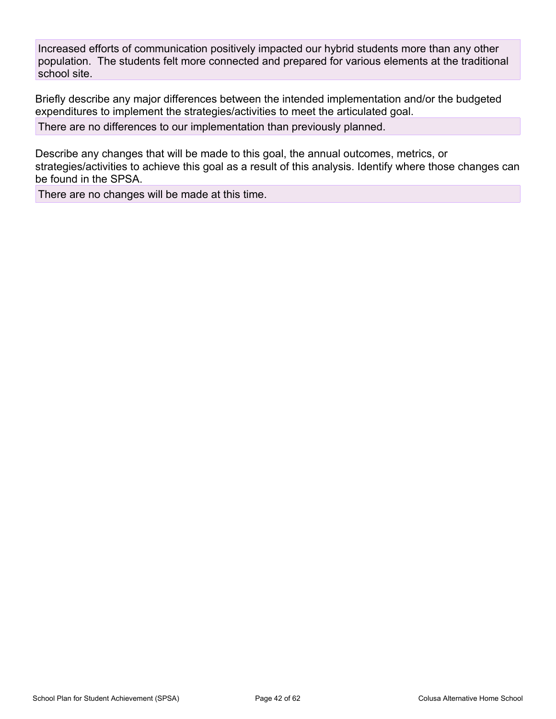Increased efforts of communication positively impacted our hybrid students more than any other population. The students felt more connected and prepared for various elements at the traditional school site.

Briefly describe any major differences between the intended implementation and/or the budgeted expenditures to implement the strategies/activities to meet the articulated goal.

There are no differences to our implementation than previously planned.

Describe any changes that will be made to this goal, the annual outcomes, metrics, or strategies/activities to achieve this goal as a result of this analysis. Identify where those changes can be found in the SPSA.

There are no changes will be made at this time.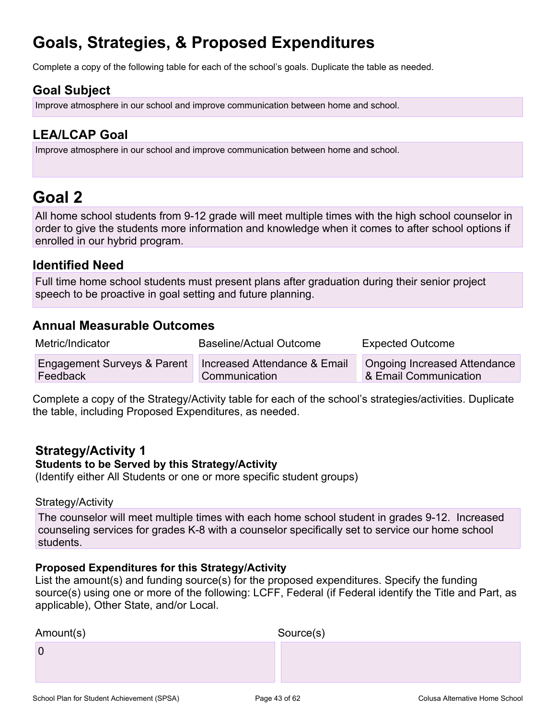## **Goals, Strategies, & Proposed Expenditures**

Complete a copy of the following table for each of the school's goals. Duplicate the table as needed.

### **Goal Subject**

Improve atmosphere in our school and improve communication between home and school.

### **LEA/LCAP Goal**

Improve atmosphere in our school and improve communication between home and school.

## <span id="page-42-0"></span>**Goal 2**

All home school students from 9-12 grade will meet multiple times with the high school counselor in order to give the students more information and knowledge when it comes to after school options if enrolled in our hybrid program.

### **Identified Need**

Full time home school students must present plans after graduation during their senior project speech to be proactive in goal setting and future planning.

### **Annual Measurable Outcomes**

| Metric/Indicator                       | Baseline/Actual Outcome      | <b>Expected Outcome</b>             |
|----------------------------------------|------------------------------|-------------------------------------|
| <b>Engagement Surveys &amp; Parent</b> | Increased Attendance & Email | <b>Ongoing Increased Attendance</b> |
| Feedback                               | Communication                | & Email Communication               |

Complete a copy of the Strategy/Activity table for each of the school's strategies/activities. Duplicate the table, including Proposed Expenditures, as needed.

### **Strategy/Activity 1**

#### **Students to be Served by this Strategy/Activity**

(Identify either All Students or one or more specific student groups)

#### Strategy/Activity

The counselor will meet multiple times with each home school student in grades 9-12. Increased counseling services for grades K-8 with a counselor specifically set to service our home school students.

#### **Proposed Expenditures for this Strategy/Activity**

List the amount(s) and funding source(s) for the proposed expenditures. Specify the funding source(s) using one or more of the following: LCFF, Federal (if Federal identify the Title and Part, as applicable), Other State, and/or Local.

| Amount(s)      | Source(s) |
|----------------|-----------|
| $\overline{0}$ |           |
|                |           |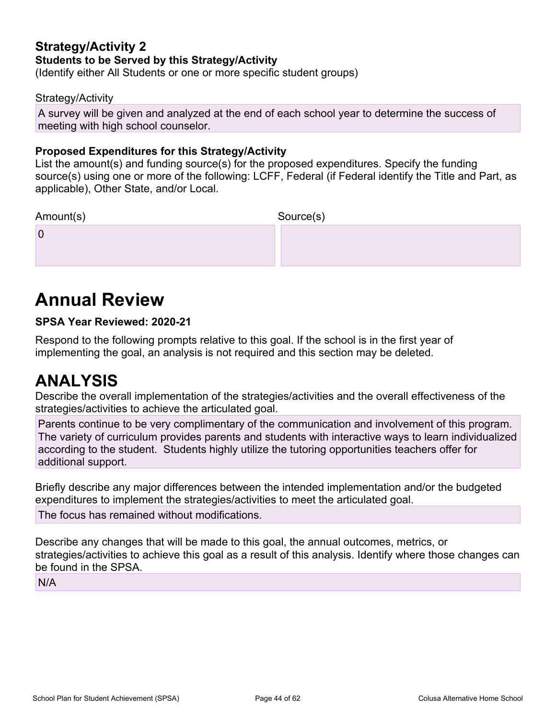### **Strategy/Activity 2 Students to be Served by this Strategy/Activity**

(Identify either All Students or one or more specific student groups)

#### Strategy/Activity

A survey will be given and analyzed at the end of each school year to determine the success of meeting with high school counselor.

#### **Proposed Expenditures for this Strategy/Activity**

List the amount(s) and funding source(s) for the proposed expenditures. Specify the funding source(s) using one or more of the following: LCFF, Federal (if Federal identify the Title and Part, as applicable), Other State, and/or Local.

Amount(s) Source(s)

0

**Annual Review**

### **SPSA Year Reviewed: 2020-21**

Respond to the following prompts relative to this goal. If the school is in the first year of implementing the goal, an analysis is not required and this section may be deleted.

## **ANALYSIS**

Describe the overall implementation of the strategies/activities and the overall effectiveness of the strategies/activities to achieve the articulated goal.

Parents continue to be very complimentary of the communication and involvement of this program. The variety of curriculum provides parents and students with interactive ways to learn individualized according to the student. Students highly utilize the tutoring opportunities teachers offer for additional support.

Briefly describe any major differences between the intended implementation and/or the budgeted expenditures to implement the strategies/activities to meet the articulated goal.

The focus has remained without modifications.

Describe any changes that will be made to this goal, the annual outcomes, metrics, or strategies/activities to achieve this goal as a result of this analysis. Identify where those changes can be found in the SPSA.

N/A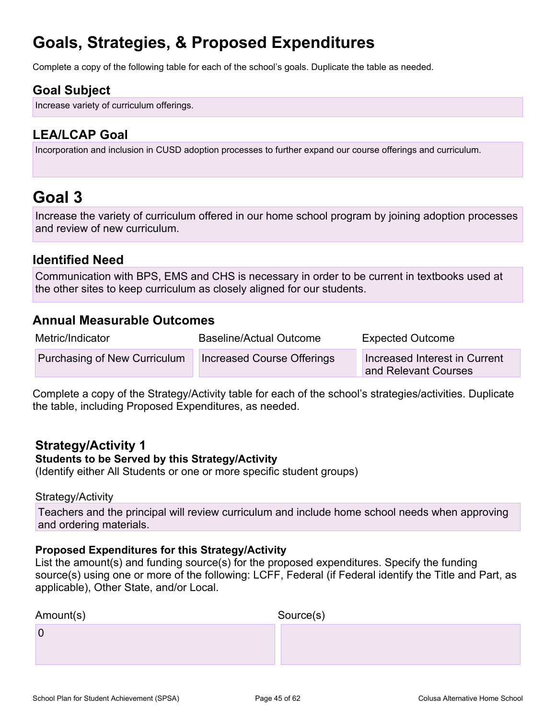## **Goals, Strategies, & Proposed Expenditures**

Complete a copy of the following table for each of the school's goals. Duplicate the table as needed.

### **Goal Subject**

Increase variety of curriculum offerings.

### **LEA/LCAP Goal**

Incorporation and inclusion in CUSD adoption processes to further expand our course offerings and curriculum.

## <span id="page-44-0"></span>**Goal 3**

Increase the variety of curriculum offered in our home school program by joining adoption processes and review of new curriculum.

### **Identified Need**

Communication with BPS, EMS and CHS is necessary in order to be current in textbooks used at the other sites to keep curriculum as closely aligned for our students.

### **Annual Measurable Outcomes**

| Metric/Indicator             | Baseline/Actual Outcome    | <b>Expected Outcome</b>                               |
|------------------------------|----------------------------|-------------------------------------------------------|
| Purchasing of New Curriculum | Increased Course Offerings | Increased Interest in Current<br>and Relevant Courses |

Complete a copy of the Strategy/Activity table for each of the school's strategies/activities. Duplicate the table, including Proposed Expenditures, as needed.

### **Strategy/Activity 1 Students to be Served by this Strategy/Activity**

(Identify either All Students or one or more specific student groups)

#### Strategy/Activity

Teachers and the principal will review curriculum and include home school needs when approving and ordering materials.

### **Proposed Expenditures for this Strategy/Activity**

List the amount(s) and funding source(s) for the proposed expenditures. Specify the funding source(s) using one or more of the following: LCFF, Federal (if Federal identify the Title and Part, as applicable), Other State, and/or Local.

| Amount(s)      | Source(s) |
|----------------|-----------|
| $\overline{0}$ |           |
|                |           |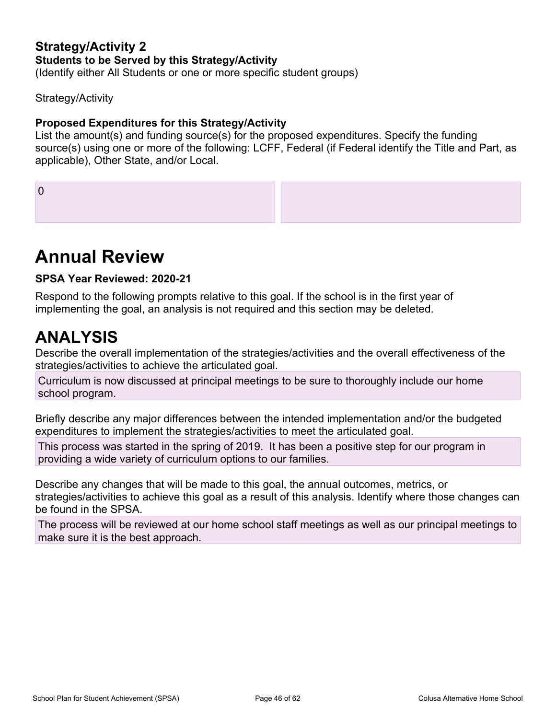### **Strategy/Activity 2 Students to be Served by this Strategy/Activity**

(Identify either All Students or one or more specific student groups)

Strategy/Activity

#### **Proposed Expenditures for this Strategy/Activity**

List the amount(s) and funding source(s) for the proposed expenditures. Specify the funding source(s) using one or more of the following: LCFF, Federal (if Federal identify the Title and Part, as applicable), Other State, and/or Local.

0

## **Annual Review**

#### **SPSA Year Reviewed: 2020-21**

Respond to the following prompts relative to this goal. If the school is in the first year of implementing the goal, an analysis is not required and this section may be deleted.

## **ANALYSIS**

Describe the overall implementation of the strategies/activities and the overall effectiveness of the strategies/activities to achieve the articulated goal.

Curriculum is now discussed at principal meetings to be sure to thoroughly include our home school program.

Briefly describe any major differences between the intended implementation and/or the budgeted expenditures to implement the strategies/activities to meet the articulated goal.

This process was started in the spring of 2019. It has been a positive step for our program in providing a wide variety of curriculum options to our families.

Describe any changes that will be made to this goal, the annual outcomes, metrics, or strategies/activities to achieve this goal as a result of this analysis. Identify where those changes can be found in the SPSA.

The process will be reviewed at our home school staff meetings as well as our principal meetings to make sure it is the best approach.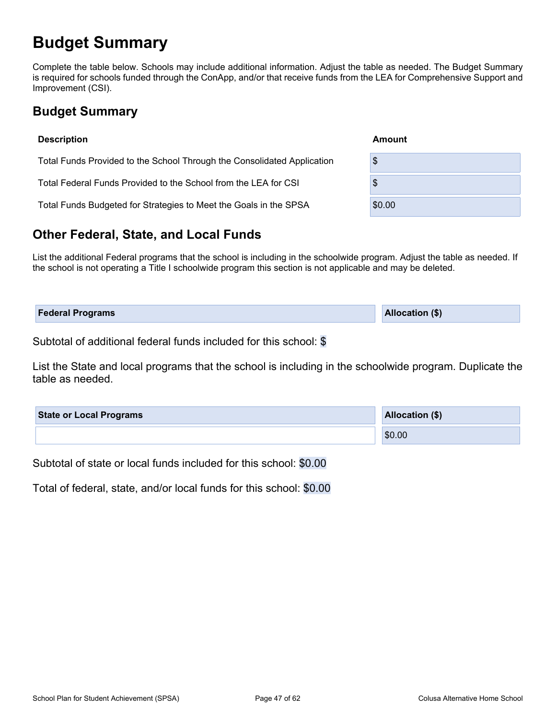## <span id="page-46-0"></span>**Budget Summary**

Complete the table below. Schools may include additional information. Adjust the table as needed. The Budget Summary is required for schools funded through the ConApp, and/or that receive funds from the LEA for Comprehensive Support and Improvement (CSI).

### <span id="page-46-1"></span>**Budget Summary**

| <b>Description</b>                                                      | Amount |
|-------------------------------------------------------------------------|--------|
| Total Funds Provided to the School Through the Consolidated Application | \$     |
| Total Federal Funds Provided to the School from the LEA for CSI         | \$     |
| Total Funds Budgeted for Strategies to Meet the Goals in the SPSA       | \$0.00 |

### <span id="page-46-2"></span>**Other Federal, State, and Local Funds**

List the additional Federal programs that the school is including in the schoolwide program. Adjust the table as needed. If the school is not operating a Title I schoolwide program this section is not applicable and may be deleted.

| <b>Federal Programs</b> | <b>Allocation (\$)</b> |
|-------------------------|------------------------|
|                         |                        |

Subtotal of additional federal funds included for this school: \$

List the State and local programs that the school is including in the schoolwide program. Duplicate the table as needed.

| <b>State or Local Programs</b> | <b>Allocation (\$)</b> |
|--------------------------------|------------------------|
|                                | \$0.00                 |

Subtotal of state or local funds included for this school: \$0.00

Total of federal, state, and/or local funds for this school: \$0.00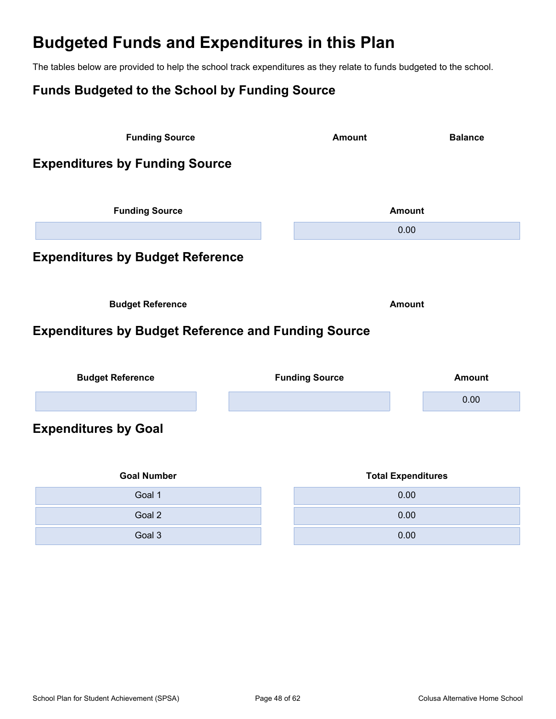## <span id="page-47-0"></span>**Budgeted Funds and Expenditures in this Plan**

The tables below are provided to help the school track expenditures as they relate to funds budgeted to the school.

### <span id="page-47-1"></span>**Funds Budgeted to the School by Funding Source**

<span id="page-47-5"></span><span id="page-47-4"></span><span id="page-47-3"></span><span id="page-47-2"></span>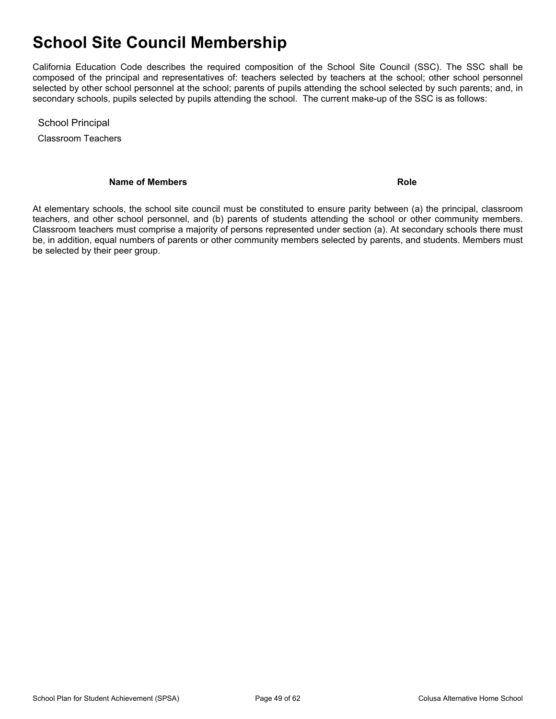## <span id="page-48-0"></span>**School Site Council Membership**

California Education Code describes the required composition of the School Site Council (SSC). The SSC shall be composed of the principal and representatives of: teachers selected by teachers at the school; other school personnel selected by other school personnel at the school; parents of pupils attending the school selected by such parents; and, in secondary schools, pupils selected by pupils attending the school. The current make-up of the SSC is as follows:

School Principal

Classroom Teachers

#### **Name of Members Role**

At elementary schools, the school site council must be constituted to ensure parity between (a) the principal, classroom teachers, and other school personnel, and (b) parents of students attending the school or other community members. Classroom teachers must comprise a majority of persons represented under section (a). At secondary schools there must be, in addition, equal numbers of parents or other community members selected by parents, and students. Members must be selected by their peer group.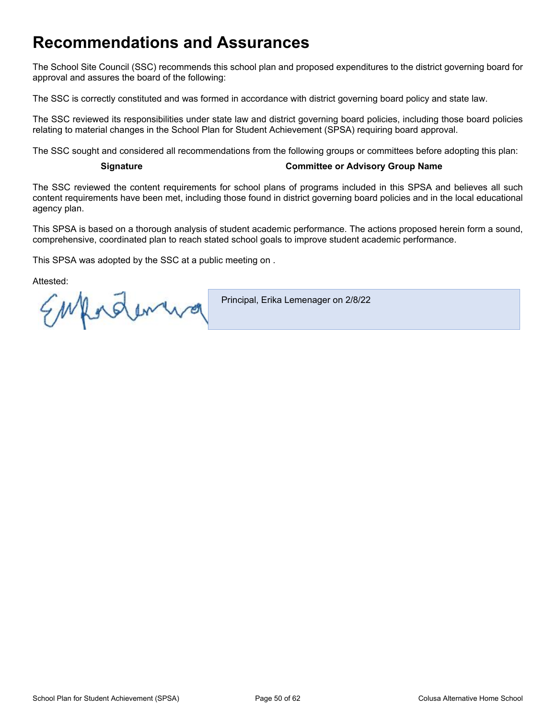## <span id="page-49-0"></span>**Recommendations and Assurances**

The School Site Council (SSC) recommends this school plan and proposed expenditures to the district governing board for approval and assures the board of the following:

The SSC is correctly constituted and was formed in accordance with district governing board policy and state law.

The SSC reviewed its responsibilities under state law and district governing board policies, including those board policies relating to material changes in the School Plan for Student Achievement (SPSA) requiring board approval.

The SSC sought and considered all recommendations from the following groups or committees before adopting this plan:

#### **Signature Committee or Advisory Group Name**

The SSC reviewed the content requirements for school plans of programs included in this SPSA and believes all such content requirements have been met, including those found in district governing board policies and in the local educational agency plan.

This SPSA is based on a thorough analysis of student academic performance. The actions proposed herein form a sound, comprehensive, coordinated plan to reach stated school goals to improve student academic performance.

This SPSA was adopted by the SSC at a public meeting on .

Attested:

Empordence

Principal, Erika Lemenager on 2/8/22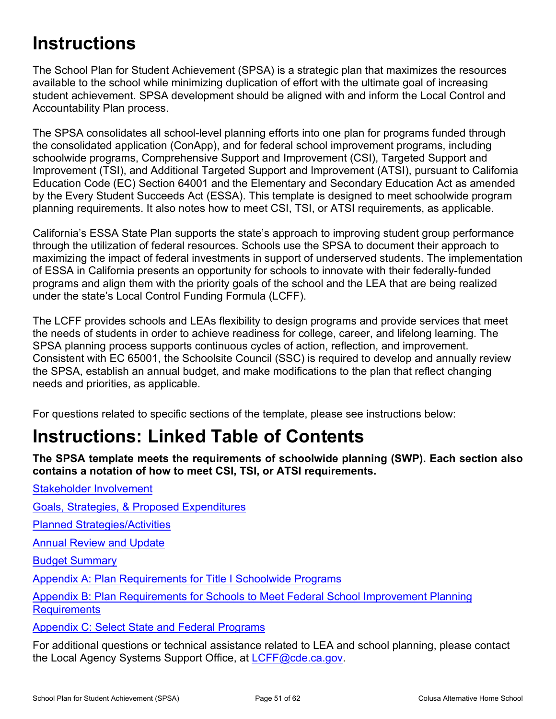## <span id="page-50-0"></span>**Instructions**

The School Plan for Student Achievement (SPSA) is a strategic plan that maximizes the resources available to the school while minimizing duplication of effort with the ultimate goal of increasing student achievement. SPSA development should be aligned with and inform the Local Control and Accountability Plan process.

The SPSA consolidates all school-level planning efforts into one plan for programs funded through the consolidated application (ConApp), and for federal school improvement programs, including schoolwide programs, Comprehensive Support and Improvement (CSI), Targeted Support and Improvement (TSI), and Additional Targeted Support and Improvement (ATSI), pursuant to California Education Code (EC) Section 64001 and the Elementary and Secondary Education Act as amended by the Every Student Succeeds Act (ESSA). This template is designed to meet schoolwide program planning requirements. It also notes how to meet CSI, TSI, or ATSI requirements, as applicable.

California's ESSA State Plan supports the state's approach to improving student group performance through the utilization of federal resources. Schools use the SPSA to document their approach to maximizing the impact of federal investments in support of underserved students. The implementation of ESSA in California presents an opportunity for schools to innovate with their federally-funded programs and align them with the priority goals of the school and the LEA that are being realized under the state's Local Control Funding Formula (LCFF).

The LCFF provides schools and LEAs flexibility to design programs and provide services that meet the needs of students in order to achieve readiness for college, career, and lifelong learning. The SPSA planning process supports continuous cycles of action, reflection, and improvement. Consistent with EC 65001, the Schoolsite Council (SSC) is required to develop and annually review the SPSA, establish an annual budget, and make modifications to the plan that reflect changing needs and priorities, as applicable.

For questions related to specific sections of the template, please see instructions below:

## <span id="page-50-1"></span>**Instructions: Linked Table of Contents**

**The SPSA template meets the requirements of schoolwide planning (SWP). Each section also contains a notation of how to meet CSI, TSI, or ATSI requirements.**

Stakeholder [Involvement](#page-51-1)

Goals, Strategies, & Proposed [Expenditures](#page-52-0)

Planned [Strategies/Activities](#page-52-1)

Annual [Review](#page-53-0) and Update

Budget [Summary](#page-54-0)

Appendix A: Plan [Requirements](#page-56-0) for Title I Schoolwide Programs

Appendix B: Plan [Requirements](#page-59-0) for Schools to Meet Federal School Improvement Planning **[Requirements](#page-59-0)** 

Appendix C: Select State and Federal [Programs](#page-61-0)

For additional questions or technical assistance related to LEA and school planning, please contact the Local Agency Systems Support Office, at [LCFF@cde.ca.gov.](mailto:LCFF@cde.ca.gov)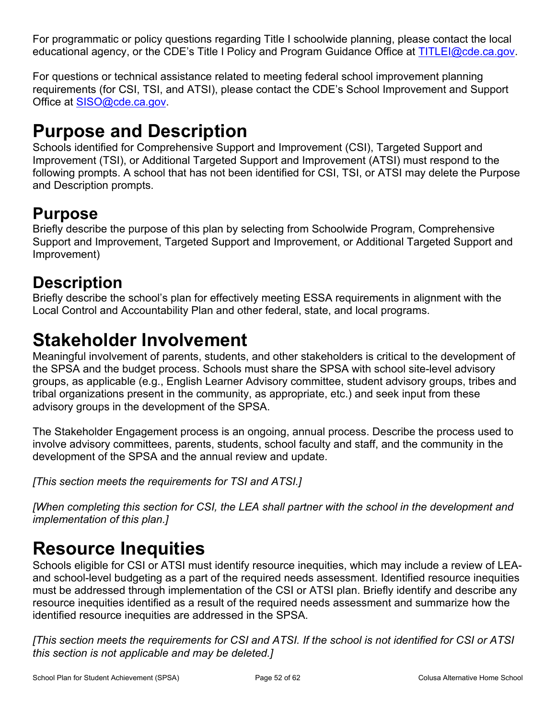For programmatic or policy questions regarding Title I schoolwide planning, please contact the local educational agency, or the CDE's Title I Policy and Program Guidance Office at [TITLEI@cde.ca.gov](mailto:TITLEI@cde.ca.gov).

For questions or technical assistance related to meeting federal school improvement planning requirements (for CSI, TSI, and ATSI), please contact the CDE's School Improvement and Support Office at [SISO@cde.ca.gov.](mailto:SISO@cde.ca.gov)

## <span id="page-51-0"></span>**Purpose and Description**

Schools identified for Comprehensive Support and Improvement (CSI), Targeted Support and Improvement (TSI), or Additional Targeted Support and Improvement (ATSI) must respond to the following prompts. A school that has not been identified for CSI, TSI, or ATSI may delete the Purpose and Description prompts.

## **Purpose**

Briefly describe the purpose of this plan by selecting from Schoolwide Program, Comprehensive Support and Improvement, Targeted Support and Improvement, or Additional Targeted Support and Improvement)

## **Description**

Briefly describe the school's plan for effectively meeting ESSA requirements in alignment with the Local Control and Accountability Plan and other federal, state, and local programs.

## <span id="page-51-1"></span>**Stakeholder Involvement**

Meaningful involvement of parents, students, and other stakeholders is critical to the development of the SPSA and the budget process. Schools must share the SPSA with school site-level advisory groups, as applicable (e.g., English Learner Advisory committee, student advisory groups, tribes and tribal organizations present in the community, as appropriate, etc.) and seek input from these advisory groups in the development of the SPSA.

The Stakeholder Engagement process is an ongoing, annual process. Describe the process used to involve advisory committees, parents, students, school faculty and staff, and the community in the development of the SPSA and the annual review and update.

*[This section meets the requirements for TSI and ATSI.]*

*[When completing this section for CSI, the LEA shall partner with the school in the development and implementation of this plan.]*

## <span id="page-51-2"></span>**Resource Inequities**

Schools eligible for CSI or ATSI must identify resource inequities, which may include a review of LEAand school-level budgeting as a part of the required needs assessment. Identified resource inequities must be addressed through implementation of the CSI or ATSI plan. Briefly identify and describe any resource inequities identified as a result of the required needs assessment and summarize how the identified resource inequities are addressed in the SPSA.

[This section meets the requirements for CSI and ATSI. If the school is not identified for CSI or ATSI *this section is not applicable and may be deleted.]*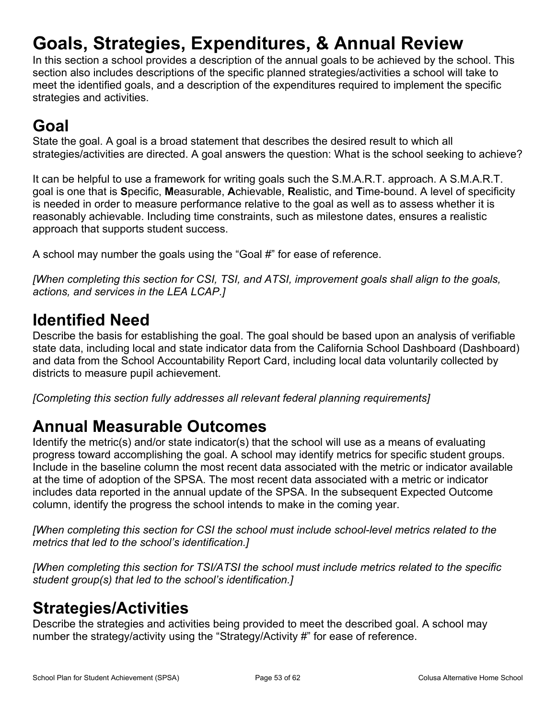## <span id="page-52-0"></span>**Goals, Strategies, Expenditures, & Annual Review**

In this section a school provides a description of the annual goals to be achieved by the school. This section also includes descriptions of the specific planned strategies/activities a school will take to meet the identified goals, and a description of the expenditures required to implement the specific strategies and activities.

## **Goal**

State the goal. A goal is a broad statement that describes the desired result to which all strategies/activities are directed. A goal answers the question: What is the school seeking to achieve?

It can be helpful to use a framework for writing goals such the S.M.A.R.T. approach. A S.M.A.R.T. goal is one that is **S**pecific, **M**easurable, **A**chievable, **R**ealistic, and **T**ime-bound. A level of specificity is needed in order to measure performance relative to the goal as well as to assess whether it is reasonably achievable. Including time constraints, such as milestone dates, ensures a realistic approach that supports student success.

A school may number the goals using the "Goal #" for ease of reference.

*[When completing this section for CSI, TSI, and ATSI, improvement goals shall align to the goals, actions, and services in the LEA LCAP.]*

## **Identified Need**

Describe the basis for establishing the goal. The goal should be based upon an analysis of verifiable state data, including local and state indicator data from the California School Dashboard (Dashboard) and data from the School Accountability Report Card, including local data voluntarily collected by districts to measure pupil achievement.

*[Completing this section fully addresses all relevant federal planning requirements]*

## **Annual Measurable Outcomes**

Identify the metric(s) and/or state indicator(s) that the school will use as a means of evaluating progress toward accomplishing the goal. A school may identify metrics for specific student groups. Include in the baseline column the most recent data associated with the metric or indicator available at the time of adoption of the SPSA. The most recent data associated with a metric or indicator includes data reported in the annual update of the SPSA. In the subsequent Expected Outcome column, identify the progress the school intends to make in the coming year.

*[When completing this section for CSI the school must include school-level metrics related to the metrics that led to the school's identification.]*

*[When completing this section for TSI/ATSI the school must include metrics related to the specific student group(s) that led to the school's identification.]*

## <span id="page-52-1"></span>**Strategies/Activities**

Describe the strategies and activities being provided to meet the described goal. A school may number the strategy/activity using the "Strategy/Activity #" for ease of reference.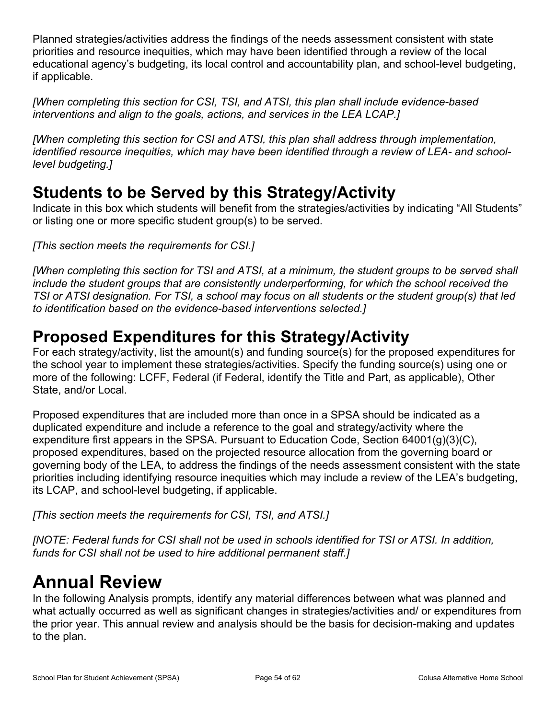Planned strategies/activities address the findings of the needs assessment consistent with state priorities and resource inequities, which may have been identified through a review of the local educational agency's budgeting, its local control and accountability plan, and school-level budgeting, if applicable.

*[When completing this section for CSI, TSI, and ATSI, this plan shall include evidence-based interventions and align to the goals, actions, and services in the LEA LCAP.]*

*[When completing this section for CSI and ATSI, this plan shall address through implementation, identified resource inequities, which may have been identified through a review of LEA- and schoollevel budgeting.]*

## **Students to be Served by this Strategy/Activity**

Indicate in this box which students will benefit from the strategies/activities by indicating "All Students" or listing one or more specific student group(s) to be served.

*[This section meets the requirements for CSI.]*

[When completing this section for TSI and ATSI, at a minimum, the student groups to be served shall *include the student groups that are consistently underperforming, for which the school received the* TSI or ATSI designation. For TSI, a school may focus on all students or the student group(s) that led *to identification based on the evidence-based interventions selected.]*

## **Proposed Expenditures for this Strategy/Activity**

For each strategy/activity, list the amount(s) and funding source(s) for the proposed expenditures for the school year to implement these strategies/activities. Specify the funding source(s) using one or more of the following: LCFF, Federal (if Federal, identify the Title and Part, as applicable), Other State, and/or Local.

Proposed expenditures that are included more than once in a SPSA should be indicated as a duplicated expenditure and include a reference to the goal and strategy/activity where the expenditure first appears in the SPSA. Pursuant to Education Code, Section 64001(g)(3)(C), proposed expenditures, based on the projected resource allocation from the governing board or governing body of the LEA, to address the findings of the needs assessment consistent with the state priorities including identifying resource inequities which may include a review of the LEA's budgeting, its LCAP, and school-level budgeting, if applicable.

*[This section meets the requirements for CSI, TSI, and ATSI.]*

*[NOTE: Federal funds for CSI shall not be used in schools identified for TSI or ATSI. In addition, funds for CSI shall not be used to hire additional permanent staff.]*

## <span id="page-53-0"></span>**Annual Review**

In the following Analysis prompts, identify any material differences between what was planned and what actually occurred as well as significant changes in strategies/activities and/ or expenditures from the prior year. This annual review and analysis should be the basis for decision-making and updates to the plan.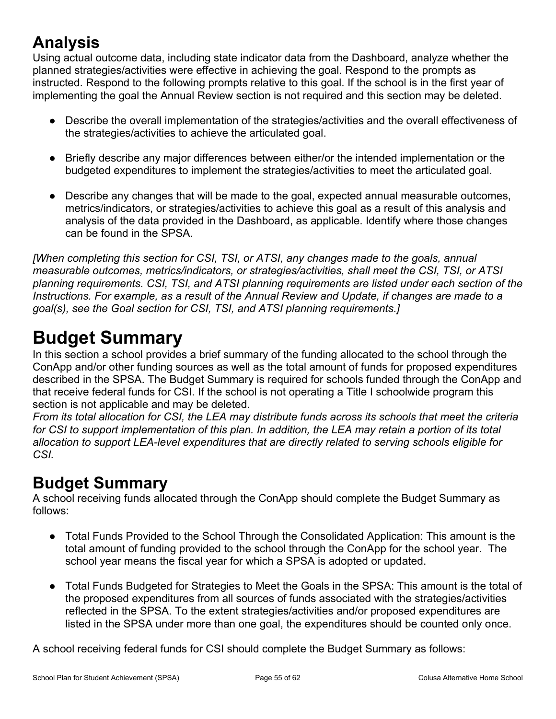## **Analysis**

Using actual outcome data, including state indicator data from the Dashboard, analyze whether the planned strategies/activities were effective in achieving the goal. Respond to the prompts as instructed. Respond to the following prompts relative to this goal. If the school is in the first year of implementing the goal the Annual Review section is not required and this section may be deleted.

- Describe the overall implementation of the strategies/activities and the overall effectiveness of the strategies/activities to achieve the articulated goal.
- Briefly describe any major differences between either/or the intended implementation or the budgeted expenditures to implement the strategies/activities to meet the articulated goal.
- Describe any changes that will be made to the goal, expected annual measurable outcomes, metrics/indicators, or strategies/activities to achieve this goal as a result of this analysis and analysis of the data provided in the Dashboard, as applicable. Identify where those changes can be found in the SPSA.

*[When completing this section for CSI, TSI, or ATSI, any changes made to the goals, annual measurable outcomes, metrics/indicators, or strategies/activities, shall meet the CSI, TSI, or ATSI planning requirements. CSI, TSI, and ATSI planning requirements are listed under each section of the Instructions. For example, as a result of the Annual Review and Update, if changes are made to a goal(s), see the Goal section for CSI, TSI, and ATSI planning requirements.]*

## <span id="page-54-0"></span>**Budget Summary**

In this section a school provides a brief summary of the funding allocated to the school through the ConApp and/or other funding sources as well as the total amount of funds for proposed expenditures described in the SPSA. The Budget Summary is required for schools funded through the ConApp and that receive federal funds for CSI. If the school is not operating a Title I schoolwide program this section is not applicable and may be deleted.

From its total allocation for CSI, the LEA may distribute funds across its schools that meet the criteria for CSI to support implementation of this plan. In addition, the LEA may retain a portion of its total *allocation to support LEA-level expenditures that are directly related to serving schools eligible for CSI.*

## **Budget Summary**

A school receiving funds allocated through the ConApp should complete the Budget Summary as follows:

- Total Funds Provided to the School Through the Consolidated Application: This amount is the total amount of funding provided to the school through the ConApp for the school year. The school year means the fiscal year for which a SPSA is adopted or updated.
- Total Funds Budgeted for Strategies to Meet the Goals in the SPSA: This amount is the total of the proposed expenditures from all sources of funds associated with the strategies/activities reflected in the SPSA. To the extent strategies/activities and/or proposed expenditures are listed in the SPSA under more than one goal, the expenditures should be counted only once.

A school receiving federal funds for CSI should complete the Budget Summary as follows: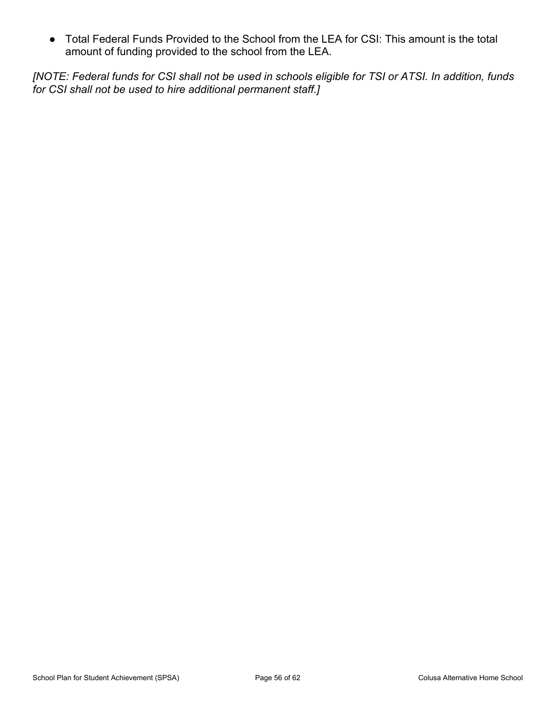● Total Federal Funds Provided to the School from the LEA for CSI: This amount is the total amount of funding provided to the school from the LEA.

[NOTE: Federal funds for CSI shall not be used in schools eligible for TSI or ATSI. In addition, funds *for CSI shall not be used to hire additional permanent staff.]*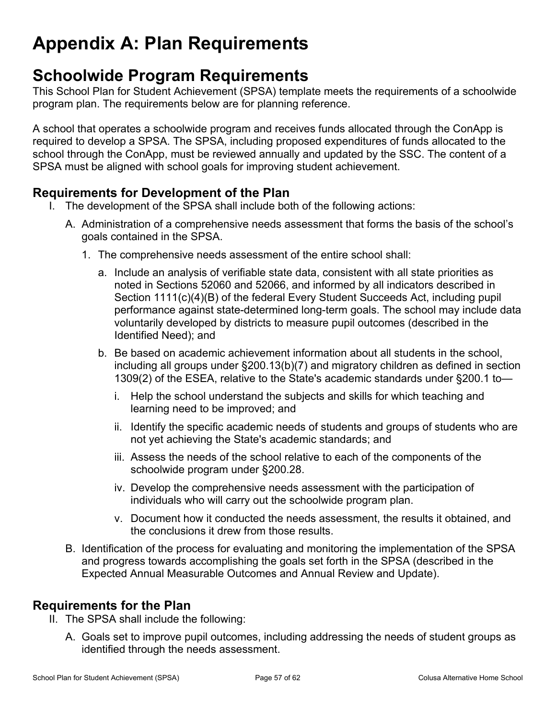## <span id="page-56-0"></span>**Appendix A: Plan Requirements**

## **Schoolwide Program Requirements**

This School Plan for Student Achievement (SPSA) template meets the requirements of a schoolwide program plan. The requirements below are for planning reference.

A school that operates a schoolwide program and receives funds allocated through the ConApp is required to develop a SPSA. The SPSA, including proposed expenditures of funds allocated to the school through the ConApp, must be reviewed annually and updated by the SSC. The content of a SPSA must be aligned with school goals for improving student achievement.

### **Requirements for Development of the Plan**

- I. The development of the SPSA shall include both of the following actions:
	- A. Administration of a comprehensive needs assessment that forms the basis of the school's goals contained in the SPSA.
		- 1. The comprehensive needs assessment of the entire school shall:
			- a. Include an analysis of verifiable state data, consistent with all state priorities as noted in Sections 52060 and 52066, and informed by all indicators described in Section 1111(c)(4)(B) of the federal Every Student Succeeds Act, including pupil performance against state-determined long-term goals. The school may include data voluntarily developed by districts to measure pupil outcomes (described in the Identified Need); and
			- b. Be based on academic achievement information about all students in the school, including all groups under §200.13(b)(7) and migratory children as defined in section 1309(2) of the ESEA, relative to the State's academic standards under §200.1 to
				- i. Help the school understand the subjects and skills for which teaching and learning need to be improved; and
				- ii. Identify the specific academic needs of students and groups of students who are not yet achieving the State's academic standards; and
				- iii. Assess the needs of the school relative to each of the components of the schoolwide program under §200.28.
				- iv. Develop the comprehensive needs assessment with the participation of individuals who will carry out the schoolwide program plan.
				- v. Document how it conducted the needs assessment, the results it obtained, and the conclusions it drew from those results.
	- B. Identification of the process for evaluating and monitoring the implementation of the SPSA and progress towards accomplishing the goals set forth in the SPSA (described in the Expected Annual Measurable Outcomes and Annual Review and Update).

### **Requirements for the Plan**

- II. The SPSA shall include the following:
	- A. Goals set to improve pupil outcomes, including addressing the needs of student groups as identified through the needs assessment.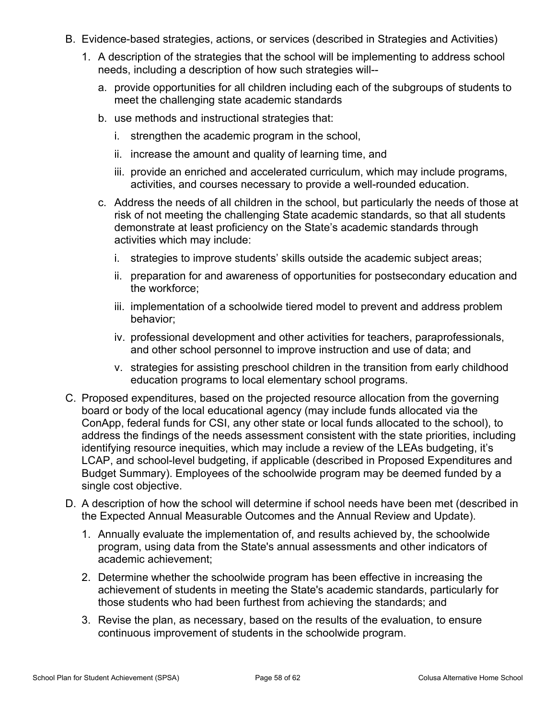- B. Evidence-based strategies, actions, or services (described in Strategies and Activities)
	- 1. A description of the strategies that the school will be implementing to address school needs, including a description of how such strategies will-
		- a. provide opportunities for all children including each of the subgroups of students to meet the challenging state academic standards
		- b. use methods and instructional strategies that:
			- i. strengthen the academic program in the school,
			- ii. increase the amount and quality of learning time, and
			- iii. provide an enriched and accelerated curriculum, which may include programs, activities, and courses necessary to provide a well-rounded education.
		- c. Address the needs of all children in the school, but particularly the needs of those at risk of not meeting the challenging State academic standards, so that all students demonstrate at least proficiency on the State's academic standards through activities which may include:
			- i. strategies to improve students' skills outside the academic subject areas;
			- ii. preparation for and awareness of opportunities for postsecondary education and the workforce;
			- iii. implementation of a schoolwide tiered model to prevent and address problem behavior;
			- iv. professional development and other activities for teachers, paraprofessionals, and other school personnel to improve instruction and use of data; and
			- v. strategies for assisting preschool children in the transition from early childhood education programs to local elementary school programs.
- C. Proposed expenditures, based on the projected resource allocation from the governing board or body of the local educational agency (may include funds allocated via the ConApp, federal funds for CSI, any other state or local funds allocated to the school), to address the findings of the needs assessment consistent with the state priorities, including identifying resource inequities, which may include a review of the LEAs budgeting, it's LCAP, and school-level budgeting, if applicable (described in Proposed Expenditures and Budget Summary). Employees of the schoolwide program may be deemed funded by a single cost objective.
- D. A description of how the school will determine if school needs have been met (described in the Expected Annual Measurable Outcomes and the Annual Review and Update).
	- 1. Annually evaluate the implementation of, and results achieved by, the schoolwide program, using data from the State's annual assessments and other indicators of academic achievement;
	- 2. Determine whether the schoolwide program has been effective in increasing the achievement of students in meeting the State's academic standards, particularly for those students who had been furthest from achieving the standards; and
	- 3. Revise the plan, as necessary, based on the results of the evaluation, to ensure continuous improvement of students in the schoolwide program.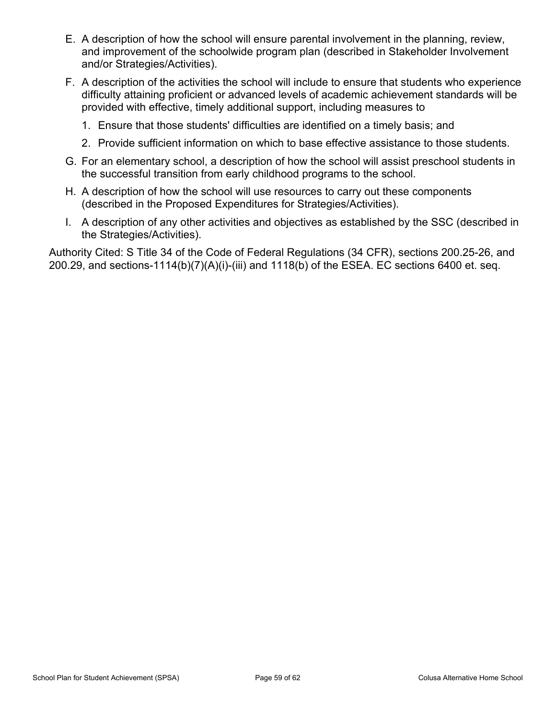- E. A description of how the school will ensure parental involvement in the planning, review, and improvement of the schoolwide program plan (described in Stakeholder Involvement and/or Strategies/Activities).
- F. A description of the activities the school will include to ensure that students who experience difficulty attaining proficient or advanced levels of academic achievement standards will be provided with effective, timely additional support, including measures to
	- 1. Ensure that those students' difficulties are identified on a timely basis; and
	- 2. Provide sufficient information on which to base effective assistance to those students.
- G. For an elementary school, a description of how the school will assist preschool students in the successful transition from early childhood programs to the school.
- H. A description of how the school will use resources to carry out these components (described in the Proposed Expenditures for Strategies/Activities).
- I. A description of any other activities and objectives as established by the SSC (described in the Strategies/Activities).

Authority Cited: S Title 34 of the Code of Federal Regulations (34 CFR), sections 200.25-26, and 200.29, and sections-1114(b)(7)(A)(i)-(iii) and 1118(b) of the ESEA. EC sections 6400 et. seq.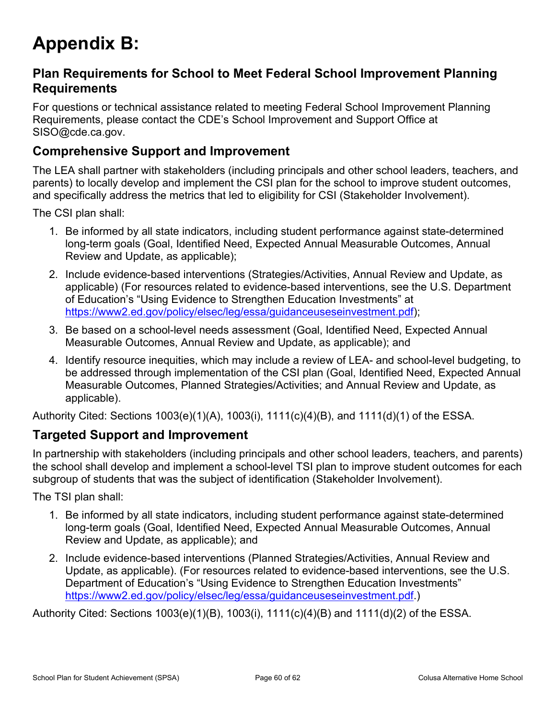# <span id="page-59-0"></span>**Appendix B:**

### **Plan Requirements for School to Meet Federal School Improvement Planning Requirements**

For questions or technical assistance related to meeting Federal School Improvement Planning Requirements, please contact the CDE's School Improvement and Support Office at SISO@cde.ca.gov.

### **Comprehensive Support and Improvement**

The LEA shall partner with stakeholders (including principals and other school leaders, teachers, and parents) to locally develop and implement the CSI plan for the school to improve student outcomes, and specifically address the metrics that led to eligibility for CSI (Stakeholder Involvement).

The CSI plan shall:

- 1. Be informed by all state indicators, including student performance against state-determined long-term goals (Goal, Identified Need, Expected Annual Measurable Outcomes, Annual Review and Update, as applicable);
- 2. Include evidence-based interventions (Strategies/Activities, Annual Review and Update, as applicable) (For resources related to evidence-based interventions, see the U.S. Department of Education's "Using Evidence to Strengthen Education Investments" at [https://www2.ed.gov/policy/elsec/leg/essa/guidanceuseseinvestment.pdf\)](https://www2.ed.gov/policy/elsec/leg/essa/guidanceuseseinvestment.pdf);
- 3. Be based on a school-level needs assessment (Goal, Identified Need, Expected Annual Measurable Outcomes, Annual Review and Update, as applicable); and
- 4. Identify resource inequities, which may include a review of LEA- and school-level budgeting, to be addressed through implementation of the CSI plan (Goal, Identified Need, Expected Annual Measurable Outcomes, Planned Strategies/Activities; and Annual Review and Update, as applicable).

Authority Cited: Sections 1003(e)(1)(A), 1003(i), 1111(c)(4)(B), and 1111(d)(1) of the ESSA.

### **Targeted Support and Improvement**

In partnership with stakeholders (including principals and other school leaders, teachers, and parents) the school shall develop and implement a school-level TSI plan to improve student outcomes for each subgroup of students that was the subject of identification (Stakeholder Involvement).

The TSI plan shall:

- 1. Be informed by all state indicators, including student performance against state-determined long-term goals (Goal, Identified Need, Expected Annual Measurable Outcomes, Annual Review and Update, as applicable); and
- 2. Include evidence-based interventions (Planned Strategies/Activities, Annual Review and Update, as applicable). (For resources related to evidence-based interventions, see the U.S. Department of Education's "Using Evidence to Strengthen Education Investments" [https://www2.ed.gov/policy/elsec/leg/essa/guidanceuseseinvestment.pdf.](https://www2.ed.gov/policy/elsec/leg/essa/guidanceuseseinvestment.pdf))

Authority Cited: Sections 1003(e)(1)(B), 1003(i), 1111(c)(4)(B) and 1111(d)(2) of the ESSA.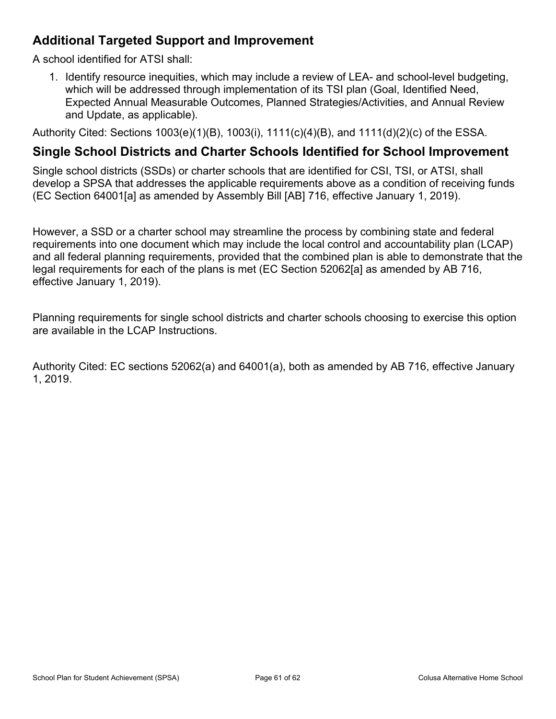### **Additional Targeted Support and Improvement**

A school identified for ATSI shall:

1. Identify resource inequities, which may include a review of LEA- and school-level budgeting, which will be addressed through implementation of its TSI plan (Goal, Identified Need, Expected Annual Measurable Outcomes, Planned Strategies/Activities, and Annual Review and Update, as applicable).

Authority Cited: Sections 1003(e)(1)(B), 1003(i), 1111(c)(4)(B), and 1111(d)(2)(c) of the ESSA.

### **Single School Districts and Charter Schools Identified for School Improvement**

Single school districts (SSDs) or charter schools that are identified for CSI, TSI, or ATSI, shall develop a SPSA that addresses the applicable requirements above as a condition of receiving funds (EC Section 64001[a] as amended by Assembly Bill [AB] 716, effective January 1, 2019).

However, a SSD or a charter school may streamline the process by combining state and federal requirements into one document which may include the local control and accountability plan (LCAP) and all federal planning requirements, provided that the combined plan is able to demonstrate that the legal requirements for each of the plans is met (EC Section 52062[a] as amended by AB 716, effective January 1, 2019).

Planning requirements for single school districts and charter schools choosing to exercise this option are available in the LCAP Instructions.

Authority Cited: EC sections 52062(a) and 64001(a), both as amended by AB 716, effective January 1, 2019.